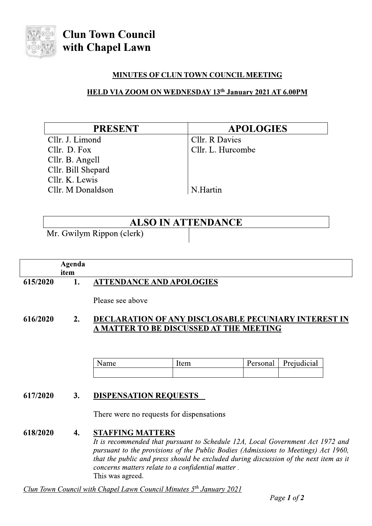

### **MINUTES OF CLUN TOWN COUNCIL MEETING**

### HELD VIA ZOOM ON WEDNESDAY 13<sup>th</sup> January 2021 AT 6.00PM

| <b>PRESENT</b>     | <b>APOLOGIES</b>  |
|--------------------|-------------------|
| Cllr. J. Limond    | Cllr. R Davies    |
| Cllr. D. Fox       | Cllr. L. Hurcombe |
| Cllr. B. Angell    |                   |
| Cllr. Bill Shepard |                   |
| Cllr. K. Lewis     |                   |
| Cllr. M Donaldson  | N.Hartin          |

## **ALSO IN ATTENDANCE**

Mr. Gwilym Rippon (clerk)

#### **Agenda** item 615/2020 **ATTENDANCE AND APOLOGIES** 1.

Please see above

#### 616/2020  $2.$ DECLARATION OF ANY DISCLOSABLE PECUNIARY INTEREST IN A MATTER TO BE DISCUSSED AT THE MEETING

| 'ame | tem | Personal | Prejudicial |
|------|-----|----------|-------------|
|      |     |          |             |

#### 617/2020  $3.$ **DISPENSATION REQUESTS**

There were no requests for dispensations

#### 618/2020  $\boldsymbol{4}$ . **STAFFING MATTERS**

It is recommended that pursuant to Schedule 12A, Local Government Act 1972 and pursuant to the provisions of the Public Bodies (Admissions to Meetings) Act 1960, that the public and press should be excluded during discussion of the next item as it concerns matters relate to a confidential matter. This was agreed.

Clun Town Council with Chapel Lawn Council Minutes 5<sup>th</sup> January 2021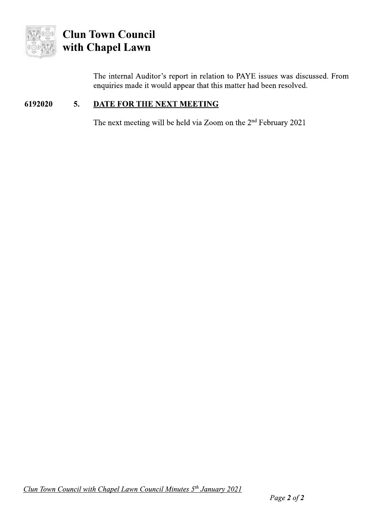

The internal Auditor's report in relation to PAYE issues was discussed. From enquiries made it would appear that this matter had been resolved.

#### 6192020 5. **DATE FOR THE NEXT MEETING**

The next meeting will be held via Zoom on the 2<sup>nd</sup> February 2021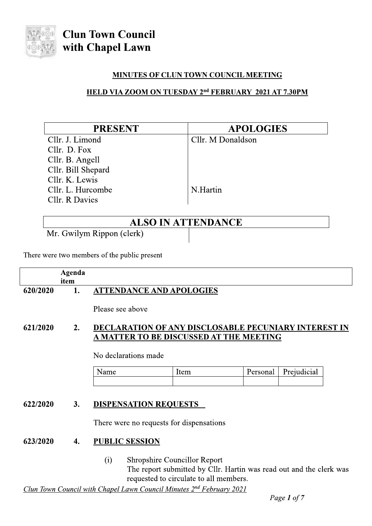

### **MINUTES OF CLUN TOWN COUNCIL MEETING**

### HELD VIA ZOOM ON TUESDAY 2<sup>nd</sup> FEBRUARY 2021 AT 7.30PM

| <b>PRESENT</b>     | <b>APOLOGIES</b>  |
|--------------------|-------------------|
| Cllr. J. Limond    | Cllr. M Donaldson |
| Cllr. D. Fox       |                   |
| Cllr. B. Angell    |                   |
| Cllr. Bill Shepard |                   |
| Cllr. K. Lewis     |                   |
| Cllr. L. Hurcombe  | N.Hartin          |
| Cllr. R Davies     |                   |

### **ALSO IN ATTENDANCE**

Mr. Gwilym Rippon (clerk)

There were two members of the public present

#### **Agenda** item 620/2020 1. **ATTENDANCE AND APOLOGIES**

Please see above

#### 621/2020  $2.$ DECLARATION OF ANY DISCLOSABLE PECUNIARY INTEREST IN A MATTER TO BE DISCUSSED AT THE MEETING

No declarations made

| Name | tem | Personal | Prejudicial |
|------|-----|----------|-------------|
|      |     |          |             |

#### 622/2020  $3.$ **DISPENSATION REQUESTS**

There were no requests for dispensations

#### 623/2020  $\overline{4}$ . **PUBLIC SESSION**

 $(i)$ **Shropshire Councillor Report** The report submitted by Cllr. Hartin was read out and the clerk was requested to circulate to all members.

Clun Town Council with Chapel Lawn Council Minutes 2<sup>nd</sup> February 2021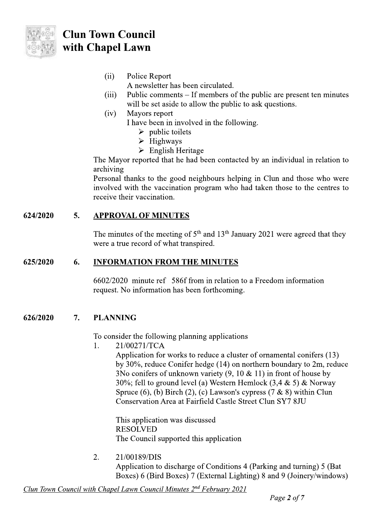

- $(ii)$ Police Report
	- A newsletter has been circulated.
- Public comments If members of the public are present ten minutes  $(iii)$ will be set aside to allow the public to ask questions.
- Mayors report  $(iv)$

I have been in involved in the following.

- $\triangleright$  public toilets
- $\triangleright$  Highways
- $\triangleright$  English Heritage

The Mayor reported that he had been contacted by an individual in relation to archiving

Personal thanks to the good neighbours helping in Clun and those who were involved with the vaccination program who had taken those to the centres to receive their vaccination.

#### 624/2020 5. **APPROVAL OF MINUTES**

The minutes of the meeting of  $5<sup>th</sup>$  and  $13<sup>th</sup>$  January 2021 were agreed that they were a true record of what transpired.

#### 625/2020 **INFORMATION FROM THE MINUTES** 6.

6602/2020 minute ref 586f from in relation to a Freedom information request. No information has been forthcoming.

#### $7.$ 626/2020 **PLANNING**

To consider the following planning applications

21/00271/TCA 1.

Application for works to reduce a cluster of ornamental conifers (13) by 30%, reduce Conifer hedge (14) on northern boundary to 2m, reduce 3No conifers of unknown variety  $(9, 10 \& 11)$  in front of house by 30%; fell to ground level (a) Western Hemlock  $(3,4 \& 5)$  & Norway Spruce (6), (b) Birch (2), (c) Lawson's cypress (7 & 8) within Clun Conservation Area at Fairfield Castle Street Clun SY7 8JU

This application was discussed **RESOLVED** The Council supported this application

 $\overline{2}$ . 21/00189/DIS Application to discharge of Conditions 4 (Parking and turning) 5 (Bat Boxes) 6 (Bird Boxes) 7 (External Lighting) 8 and 9 (Joinery/windows)

Clun Town Council with Chapel Lawn Council Minutes 2<sup>nd</sup> February 2021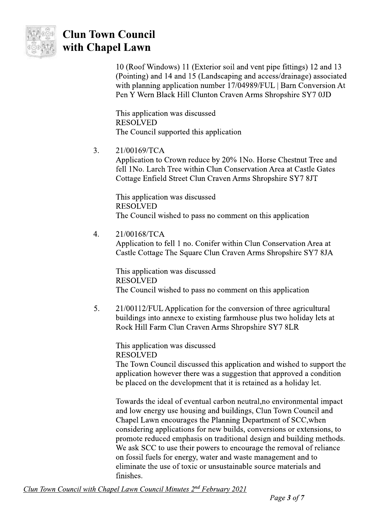

## **Exercise** Clun Town Council **Except With Chapel Lawn**

10 (Roof Windows) 11 (Exterior soil and vent pipe fittings) 12 and 13 (Pointing) and 14 and 15 (Landscaping and access/drainage) associated with planning application number 17/04989/FUL | Barn Conversion At Pen Y Wern Black Hill Clunton Craven Arms Shropshire SY7 0JD

 $\mathbb{L}$ I his application was discussed RESOLVED The Council supported this application

## $3. \quad 21/00169/1CA$

Application to Crown reduce by 20% 1No. Horse Chestnut Tree and fell 1No. Larch Tree within Clun Conservation Area at Castle Gates Cottage Enfield Street Clun Craven Arms Shropshire SY7 8JT

 $\mathbb{L}$ I his application was discussed RESOLVED The Council wished to pass no comment on this application

### $\frac{1}{2}$ 4.  $21/00168/1CA$

Application to fell 1 no. Conifer within Clun Conservation Area at Castle Cottage The Square Clun Craven Arms Shropshire SY7 8JA

 $\mathbb{R}$ This application was discussed RESOLVED The Council wished to pass no comment on this application

 $\frac{1}{2}$  $\text{21/00112/FUL}\text{Application}$  for the conversion of three agricultural buildings into annexe to existing farmhouse plus two holiday lets at Rock Hill Farm Clun Craven Arms Shropshire SY7 8LR

i<br>Li I his application was discussed RESOLVED

The Town Council discussed this application and wished to support the application however there was a suggestion that approved a condition be placed on the development that it is retained as a holiday let.

Chapel Lawn encourages the Planning Department of SCC, considering applications for new builds, conversions or exter promote reduced emphasis on traditional design and building We ask SCC to use their powers to encourage  $\mathbf{r}$ Towards the ideal of eventual carbon neutral, no environmental impact and low energy use housing and buildings, Clun Town Council and Chapel Lawn encourages the Planning Department of SCC, when considering applications for new builds, conversions or extensions, to promote reduced emphasis on traditional design and building methods. We ask SCC to use their powers to encourage the removal of reliance on fossil fuels for energy, water and waste management and to eliminate the use of toxic or unsustainable source materials and finishes.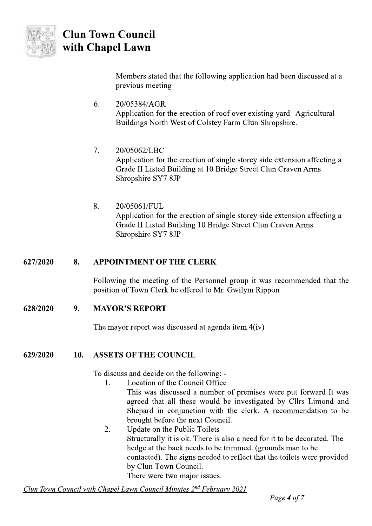

## **Exercise** Clun Town Council **Except With Chapel Lawn**

i.<br>Lin Members stated that the following application had been discussed at a previous meeting

- 6. 20/05384/AGR Application for the erection of roof over existing vard | Agricultural Buildings North West of Colstey Farm Clun Shropshire.
- $7.$ 20/05062/LBC

Application for the erection of single storey side extension affecting a Grade II Listed Building at 10 Bridge Street Clun Craven Arms Shropshire SY7 8JP

8. 20/05061/FUL Application for the erection of single storey side extension affecting a Grade II Listed Building 10 Bridge Street Clun Craven Arms Shropshire SY7 8JP

### $627/2020$  8. APPOINTMENT OF THE CLERK

 Following the meeting of the Personnel group it was recommended that the position of Town Clerk be offered to Mr. Gwilym Rippon

### and a strong of the state of the state of the state of the state of the state of the state of the state of the<br>The state of the state of the state of the state of the state of the state of the state of the state of the st  $628/2020$  9. MAYOR'S REPORT

 The mayor report was discussed at agenda item  $4(iv)$ 

### $629/2020$  10. ASSETS OF THE COUNCIL

 To discuss and decide on the following: -<br>1. Location of the Council Office

- Location of the Council Office This was discussed a number of premises were put forward It was agreed that all these would be investigated by Cllrs Limond and Shepard in conjunction with the clerk. A recommendation to be brought before the next Council.
- brought before the next Council.<br>
2. Update on the Public Toilets<br>
Structurally it is ok. There is also a need for it to be decomposed<br>
hedge at the back needs to be trimmed. (grounds man to located). The signs needed to 2. Update on the Public Toilets Structurally it is ok. There is also a need for it to be decorated. The hedge at the back needs to be trimmed. (grounds man to be contacted). The signs needed to reflect that the toilets were provided by Clun Town Council. There were two major issues.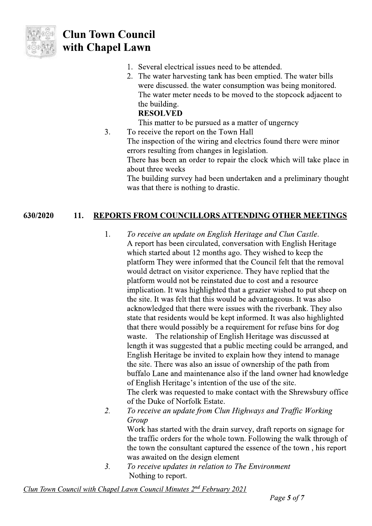

3.

- 1. Several electrical issues need to be attended.
- 2. The water harvesting tank has been emptied. The water bills were discussed, the water consumption was being monitored. The water meter needs to be moved to the stopcock adjacent to the building. **RESOLVED**

This matter to be pursued as a matter of ungerncy

To receive the report on the Town Hall The inspection of the wiring and electrics found there were minor errors resulting from changes in legislation.

There has been an order to repair the clock which will take place in about three weeks

The building survey had been undertaken and a preliminary thought was that there is nothing to drastic.

#### 630/2020 11. REPORTS FROM COUNCILLORS ATTENDING OTHER MEETINGS

- 1. To receive an update on English Heritage and Clun Castle. A report has been circulated, conversation with English Heritage which started about 12 months ago. They wished to keep the platform They were informed that the Council felt that the removal would detract on visitor experience. They have replied that the platform would not be reinstated due to cost and a resource implication. It was highlighted that a grazier wished to put sheep on the site. It was felt that this would be advantageous. It was also acknowledged that there were issues with the riverbank. They also state that residents would be kept informed. It was also highlighted that there would possibly be a requirement for refuse bins for dog The relationship of English Heritage was discussed at waste. length it was suggested that a public meeting could be arranged, and English Heritage be invited to explain how they intend to manage the site. There was also an issue of ownership of the path from buffalo Lane and maintenance also if the land owner had knowledge of English Heritage's intention of the use of the site. The clerk was requested to make contact with the Shrewsbury office of the Duke of Norfolk Estate.
- $\overline{2}$ . To receive an update from Clun Highways and Traffic Working Group

Work has started with the drain survey, draft reports on signage for the traffic orders for the whole town. Following the walk through of the town the consultant captured the essence of the town, his report was awaited on the design element

To receive updates in relation to The Environment  $3.$ Nothing to report.

Clun Town Council with Chapel Lawn Council Minutes 2nd February 2021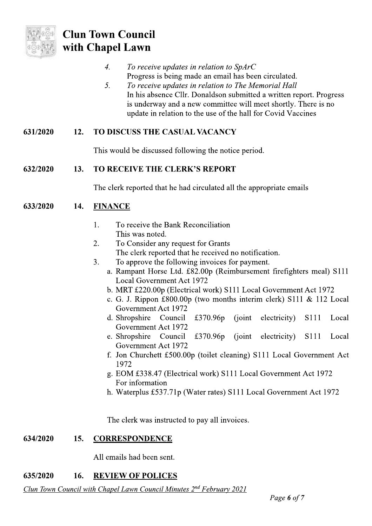

- $\overline{4}$ . To receive updates in relation to SpArC Progress is being made an email has been circulated.
- To receive updates in relation to The Memorial Hall  $5<sub>1</sub>$ In his absence Cllr. Donaldson submitted a written report. Progress is underway and a new committee will meet shortly. There is no update in relation to the use of the hall for Covid Vaccines

#### $12.$ TO DISCUSS THE CASUAL VACANCY 631/2020

This would be discussed following the notice period.

#### 632/2020  $13.$ **TO RECEIVE THE CLERK'S REPORT**

The clerk reported that he had circulated all the appropriate emails

#### 633/2020 14. **FINANCE**

- $1<sub>1</sub>$ To receive the Bank Reconciliation This was noted.
- $\overline{2}$ . To Consider any request for Grants The clerk reported that he received no notification.
- 3. To approve the following invoices for payment.
	- a. Rampant Horse Ltd. £82.00p (Reimbursement firefighters meal) S111 Local Government Act 1972
		- b. MRT £220.00p (Electrical work) S111 Local Government Act 1972
		- c. G. J. Rippon £800.00p (two months interim clerk) S111 & 112 Local Government Act 1972
		- d. Shropshire Council £370.96 $p$ (joint) electricity) S111 Local Government Act 1972
		- e. Shropshire Council £370.96 $p$ (joint) electricity) S111 Local Government Act 1972
		- f. Jon Churchett £500.00p (toilet cleaning) S111 Local Government Act 1972
		- g. EOM £338.47 (Electrical work) S111 Local Government Act 1972 For information
		- h. Waterplus £537.71p (Water rates) S111 Local Government Act 1972

The clerk was instructed to pay all invoices.

#### 634/2020 15. **CORRESPONDENCE**

All emails had been sent.

#### 635/2020 16. **REVIEW OF POLICES**

Clun Town Council with Chapel Lawn Council Minutes 2<sup>nd</sup> February 2021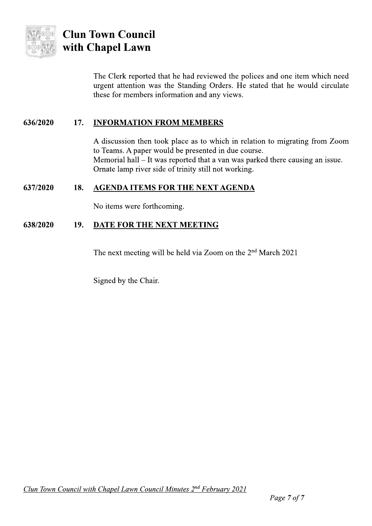

The Clerk reported that he had reviewed the polices and one item which need urgent attention was the Standing Orders. He stated that he would circulate these for members information and any views.

#### 636/2020 17. **INFORMATION FROM MEMBERS**

A discussion then took place as to which in relation to migrating from Zoom to Teams. A paper would be presented in due course. Memorial hall - It was reported that a van was parked there causing an issue. Ornate lamp river side of trinity still not working.

#### 637/2020 18. **AGENDA ITEMS FOR THE NEXT AGENDA**

No items were forthcoming.

#### 19. **DATE FOR THE NEXT MEETING** 638/2020

The next meeting will be held via Zoom on the 2<sup>nd</sup> March 2021

Signed by the Chair.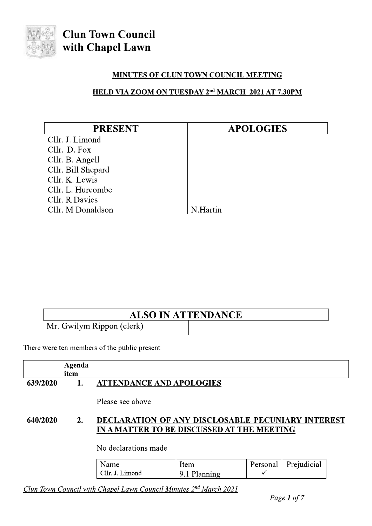

### **MINUTES OF CLUN TOWN COUNCIL MEETING**

### HELD VIA ZOOM ON TUESDAY 2<sup>nd</sup> MARCH 2021 AT 7.30PM

| <b>PRESENT</b>     | <b>APOLOGIES</b> |
|--------------------|------------------|
| Cllr. J. Limond    |                  |
| Cllr. D. Fox       |                  |
| Cllr. B. Angell    |                  |
| Cllr. Bill Shepard |                  |
| Cllr. K. Lewis     |                  |
| Cllr. L. Hurcombe  |                  |
| Cllr. R Davies     |                  |
| Cllr. M Donaldson  | N.Hartin         |

### **ALSO IN ATTENDANCE**

Mr. Gwilym Rippon (clerk)

There were ten members of the public present

#### Agenda item 639/2020 **ATTENDANCE AND APOLOGIES**  $1.$

Please see above

#### DECLARATION OF ANY DISCLOSABLE PECUNIARY INTEREST 640/2020  $2.$ IN A MATTER TO BE DISCUSSED AT THE MEETING

No declarations made

| Name              | tem               | Personal   ] | Prejudicial |
|-------------------|-------------------|--------------|-------------|
| l Cllr. J. Limond | Planning<br>$Q_1$ |              |             |

Clun Town Council with Chapel Lawn Council Minutes 2<sup>nd</sup> March 2021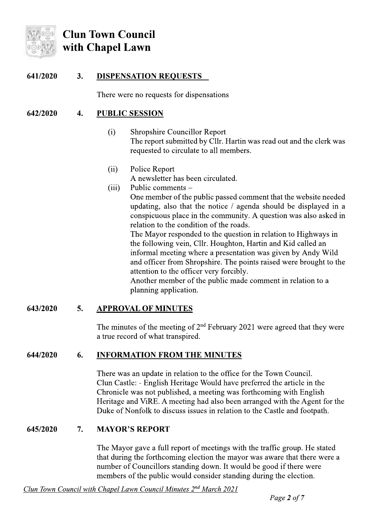

#### 641/2020 3. **DISPENSATION REQUESTS**

There were no requests for dispensations

#### 642/2020  $\overline{4}$ . **PUBLIC SESSION**

- Shropshire Councillor Report  $(i)$ The report submitted by Cllr. Hartin was read out and the clerk was requested to circulate to all members.
- $(ii)$ Police Report A newsletter has been circulated.
- $(iii)$ Public comments  $-$ One member of the public passed comment that the website needed updating, also that the notice / agenda should be displayed in a conspicuous place in the community. A question was also asked in relation to the condition of the roads. The Mayor responded to the question in relation to Highways in the following vein, Cllr. Houghton, Hartin and Kid called an informal meeting where a presentation was given by Andy Wild and officer from Shropshire. The points raised were brought to the attention to the officer very forcibly. Another member of the public made comment in relation to a planning application.

#### **APPROVAL OF MINUTES** 643/2020  $5<sub>1</sub>$

The minutes of the meeting of  $2<sup>nd</sup>$  February 2021 were agreed that they were a true record of what transpired.

#### 644/2020 6. **INFORMATION FROM THE MINUTES**

There was an update in relation to the office for the Town Council. Clun Castle: - English Heritage Would have preferred the article in the Chronicle was not published, a meeting was forthcoming with English Heritage and ViRE. A meeting had also been arranged with the Agent for the Duke of Nonfolk to discuss issues in relation to the Castle and footpath.

#### 645/2020  $7<sub>1</sub>$ **MAYOR'S REPORT**

The Mayor gave a full report of meetings with the traffic group. He stated that during the forthcoming election the mayor was aware that there were a number of Councillors standing down. It would be good if there were members of the public would consider standing during the election.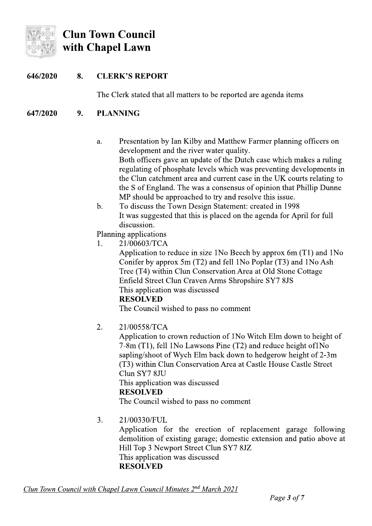

#### 646/2020 8. **CLERK'S REPORT**

The Clerk stated that all matters to be reported are agenda items

#### 647/2020  $9<sub>1</sub>$ **PLANNING**

- Presentation by Ian Kilby and Matthew Farmer planning officers on a. development and the river water quality. Both officers gave an update of the Dutch case which makes a ruling regulating of phosphate levels which was preventing developments in the Clun catchment area and current case in the UK courts relating to the S of England. The was a consensus of opinion that Phillip Dunne MP should be approached to try and resolve this issue.
- $\mathbf b$ . To discuss the Town Design Statement: created in 1998 It was suggested that this is placed on the agenda for April for full discussion.

Planning applications

21/00603/TCA 1.

Application to reduce in size 1No Beech by approx 6m (T1) and 1No Conifer by approx 5m (T2) and fell 1No Poplar (T3) and 1No Ash Tree (T4) within Clun Conservation Area at Old Stone Cottage Enfield Street Clun Craven Arms Shropshire SY7 8JS This application was discussed

### **RESOLVED**

The Council wished to pass no comment

 $\overline{2}$ . 21/00558/TCA

Application to crown reduction of 1No Witch Elm down to height of 7-8m (T1), fell 1No Lawsons Pine (T2) and reduce height of 1No sapling/shoot of Wych Elm back down to hedgerow height of 2-3m (T3) within Clun Conservation Area at Castle House Castle Street Clun SY7 8JU

This application was discussed

### **RESOLVED**

The Council wished to pass no comment

 $3.$ 21/00330/FUL

Application for the erection of replacement garage following demolition of existing garage; domestic extension and patio above at Hill Top 3 Newport Street Clun SY7 8JZ This application was discussed **RESOLVED**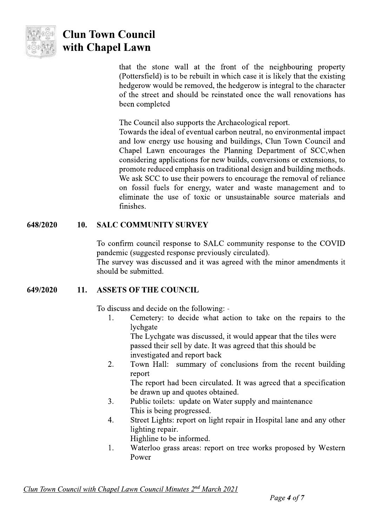

that the stone wall at the front of the neighbouring property (Pottersfield) is to be rebuilt in which case it is likely that the existing hedgerow would be removed, the hedgerow is integral to the character of the street and should be reinstated once the wall renovations has been completed

The Council also supports the Archaeological report.

Towards the ideal of eventual carbon neutral, no environmental impact and low energy use housing and buildings, Clun Town Council and Chapel Lawn encourages the Planning Department of SCC, when considering applications for new builds, conversions or extensions, to promote reduced emphasis on traditional design and building methods. We ask SCC to use their powers to encourage the removal of reliance on fossil fuels for energy, water and waste management and to eliminate the use of toxic or unsustainable source materials and finishes.

#### **SALC COMMUNITY SURVEY** 648/2020  $10<sub>1</sub>$

To confirm council response to SALC community response to the COVID pandemic (suggested response previously circulated).

The survey was discussed and it was agreed with the minor amendments it should be submitted.

#### 649/2020 11. **ASSETS OF THE COUNCIL**

To discuss and decide on the following: -

Cemetery: to decide what action to take on the repairs to the  $\mathbf{1}$ . lvchgate

The Lychgate was discussed, it would appear that the tiles were passed their sell by date. It was agreed that this should be investigated and report back

2. Town Hall: summary of conclusions from the recent building report

The report had been circulated. It was agreed that a specification be drawn up and quotes obtained.

- 3. Public toilets: update on Water supply and maintenance This is being progressed.
- $\overline{4}$ . Street Lights: report on light repair in Hospital lane and any other lighting repair.
	- Highline to be informed.
- 1. Waterloo grass areas: report on tree works proposed by Western Power

Clun Town Council with Chapel Lawn Council Minutes 2nd March 2021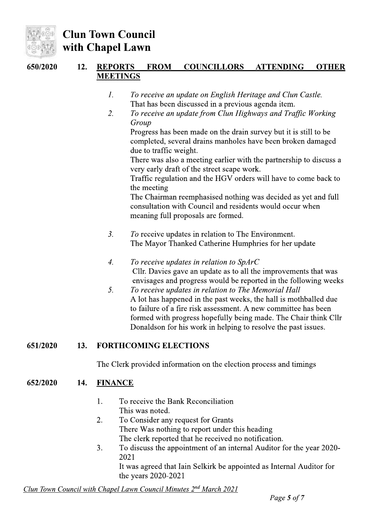

#### 650/2020 12. **REPORTS FROM** COUNCILLORS **ATTENDING OTHER MEETINGS**

- $\overline{I}$ . To receive an update on English Heritage and Clun Castle. That has been discussed in a previous agenda item.
- $\overline{2}$ . To receive an update from Clun Highways and Traffic Working Group

Progress has been made on the drain survey but it is still to be completed, several drains manholes have been broken damaged due to traffic weight.

There was also a meeting earlier with the partnership to discuss a very early draft of the street scape work.

Traffic regulation and the HGV orders will have to come back to the meeting

The Chairman reemphasised nothing was decided as yet and full consultation with Council and residents would occur when meaning full proposals are formed.

- $\mathfrak{Z}$ . To receive updates in relation to The Environment. The Mayor Thanked Catherine Humphries for her update
- $\overline{4}$ . To receive updates in relation to SpArC Cllr. Davies gave an update as to all the improvements that was envisages and progress would be reported in the following weeks
- To receive updates in relation to The Memorial Hall 5. A lot has happened in the past weeks, the hall is mothballed due to failure of a fire risk assessment. A new committee has been formed with progress hopefully being made. The Chair think Cllr Donaldson for his work in helping to resolve the past issues.

#### **FORTHCOMING ELECTIONS** 651/2020 13.

The Clerk provided information on the election process and timings

#### 652/2020 14. **FINANCE**

- $\mathbf{1}$ . To receive the Bank Reconciliation This was noted.
- 2. To Consider any request for Grants There Was nothing to report under this heading The clerk reported that he received no notification.
- 3. To discuss the appointment of an internal Auditor for the year 2020-2021

It was agreed that Iain Selkirk be appointed as Internal Auditor for the years 2020-2021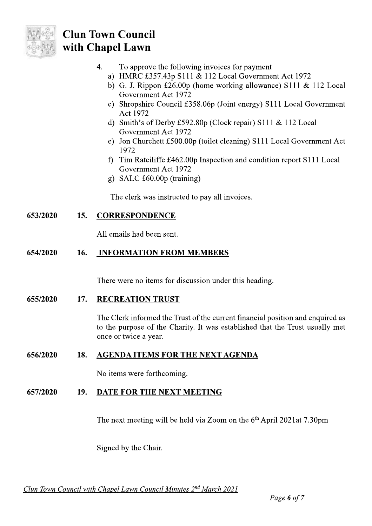

## **Exercise** Clun Town Council **Except With Chapel Lawn**

- 4. To approve the following invoices for payment
	- a) HMRC  $£357.43p$  S111 & 112 Local Government Act 1972
	- b) G. J. Rippon £26.00p (home working allowance) S111 & 112 Local Government Act 1972
	- c) Shropshire Council £358.06p (Joint energy) S111 Local Government Act 1972
	- d) Smith's of Derby £592.80p (Clock repair) S111 & 112 Local Government Act 1972
	- e) Jon Churchett £500.00p (toilet cleaning) S111 Local Government Act 1972
	- f) Tim Ratciliffe £462.00p Inspection and condition report S111 Local Government Act 1972
	- $g)$  SALC £60.00 $p$  (training)

 $\mathbb{L}$ The clerk was instructed to pay all invoices.

#### $653/2020$  15. <u>orrespondence</u>

 All emails had been sent.

### 654/2020 16. INFORMATION FROM MEMBERS

There were no items for discussion under this heading.

 $\mathbb{R}^2$  $655/2020$  17. <u>keation trust</u>

> The Clerk informed the Trust of the current financial position and enquired as to the purpose of the Charity. It was established that the Trust usually met once or twice a year.

### 656/2020 18. AGENDA ITEMS FOR THE NEXT AGENDA

and the state of the state of No items were forthcoming.

### 657/2020 19. DATE FOR THE NEXT MEETING

 The next meeting will be held via Zoom on the  $6<sup>th</sup>$  April 2021at 7.30pm

Signed by the Chair.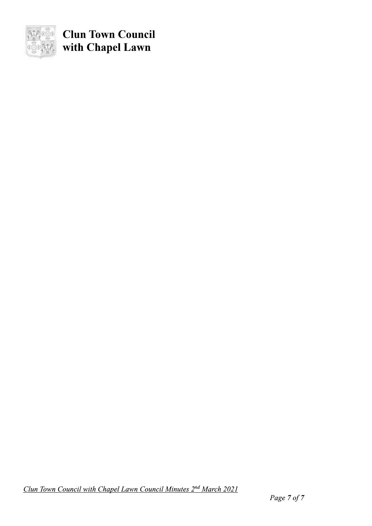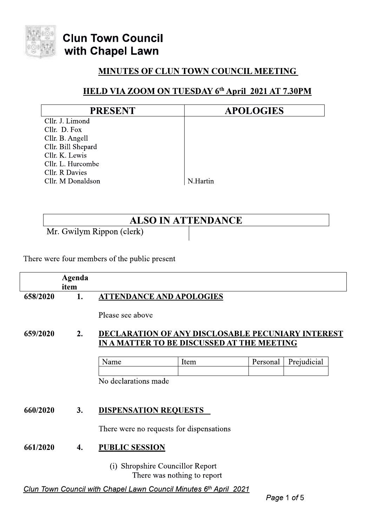

## iun Town Council **Example 2.1 With Chapel Lawn**

### **MINUTES OF CLUN TOWN COUNCIL MEETING**

## <u>HELD VIA ZOOM ON TUESDAY 6<sup>th</sup> April\_2021 AT 7.30PM</u>

| <b>PRESENT</b>     | <b>APOLOGIES</b> |
|--------------------|------------------|
| Cllr. J. Limond    |                  |
| Cllr. D. Fox       |                  |
| Cllr. B. Angell    |                  |
| Cllr. Bill Shepard |                  |
| Cllr. K. Lewis     |                  |
| Cllr. L. Hurcombe  |                  |
| Cllr. R Davies     |                  |
| Cllr. M Donaldson  | N.Hartin         |

### ALSO IN ATTENDANCE

Mr. Gwilym Rippon (clerk)

There were four members of the public present

## There were no requests for dispensations<br> **4.** PUBLIC SESSION<br>
(i) Shropshire Councillor Report<br>
There was nothing to report<br>
Clun Town Council with Chapel Lawn Council Minutes 6<sup>th</sup> April 2021<br>
Page 1 of 5 / / @wxyz{/ HDx|/ / 658/2020 1. ATTENDANCE AND APOLOGIES / / Please see above / / / 659/2020 2. DECLARATION OF ANY DISCLOSABLE PECUNIARY INTEREST IN A MATTER TO BE DISCUSSED AT THE MEETING  $\sqrt{2}$  /  $\sqrt{2}$  /  $\sqrt{2}$ 110 | Name | Item | Personal | Prejudicial R R R R  $\overline{\text{No}$  declarations made / / / 660/2020 3. DISPENSATION REQUESTS / / There were no requests for dispensations 661/2020 4. PUBLIC SESSION (i) Shropshire Councillor Report There was nothing to report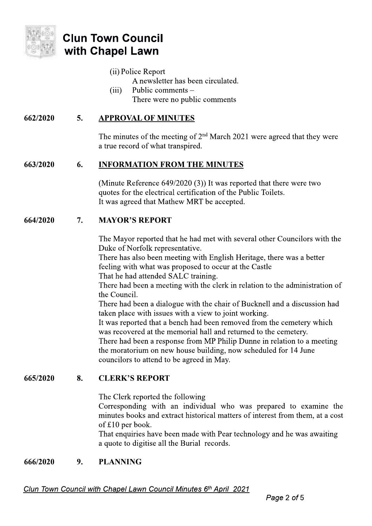

- (ii) Police Report
	- A newsletter has been circulated.
- Public comments  $(iii)$ There were no public comments

#### 662/2020  $5.$ **APPROVAL OF MINUTES**

The minutes of the meeting of  $2<sup>nd</sup>$  March 2021 were agreed that they were a true record of what transpired.

#### 663/2020 **INFORMATION FROM THE MINUTES** 6.

(Minute Reference  $649/2020$  (3)) It was reported that there were two quotes for the electrical certification of the Public Toilets. It was agreed that Mathew MRT be accepted.

#### **MAYOR'S REPORT** 664/2020 7.

The Mayor reported that he had met with several other Councilors with the Duke of Norfolk representative.

There has also been meeting with English Heritage, there was a better feeling with what was proposed to occur at the Castle

That he had attended SALC training.

There had been a meeting with the clerk in relation to the administration of the Council.

There had been a dialogue with the chair of Bucknell and a discussion had taken place with issues with a view to joint working.

It was reported that a bench had been removed from the cemetery which was recovered at the memorial hall and returned to the cemetery.

There had been a response from MP Philip Dunne in relation to a meeting the moratorium on new house building, now scheduled for 14 June councilors to attend to be agreed in May.

#### 665/2020 **CLERK'S REPORT** 8.

The Clerk reported the following

Corresponding with an individual who was prepared to examine the minutes books and extract historical matters of interest from them, at a cost of £10 per book.

That enquiries have been made with Pear technology and he was awaiting a quote to digitise all the Burial records.

#### 666/2020  $9<sub>1</sub>$ **PLANNING**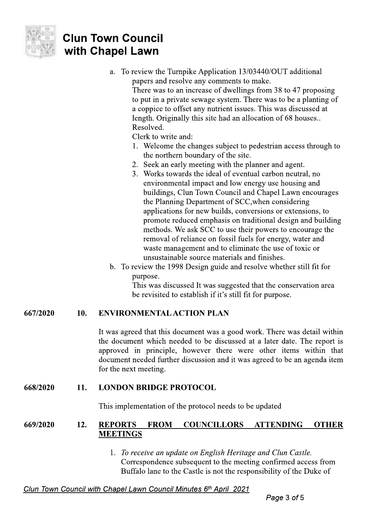

| a. To review the Turnpike Application 13/03440/OUT additional<br>papers and resolve any comments to make.<br>There was to an increase of dwellings from 38 to 47 proposing<br>to put in a private sewage system. There was to be a planting of<br>a coppice to offset any nutrient issues. This was discussed at<br>length. Originally this site had an allocation of 68 houses<br>Resolved.                                                                                                                                                   |
|------------------------------------------------------------------------------------------------------------------------------------------------------------------------------------------------------------------------------------------------------------------------------------------------------------------------------------------------------------------------------------------------------------------------------------------------------------------------------------------------------------------------------------------------|
| Clerk to write and:                                                                                                                                                                                                                                                                                                                                                                                                                                                                                                                            |
| 1. Welcome the changes subject to pedestrian access through to<br>the northern boundary of the site.                                                                                                                                                                                                                                                                                                                                                                                                                                           |
| 2. Seek an early meeting with the planner and agent.                                                                                                                                                                                                                                                                                                                                                                                                                                                                                           |
| 3. Works towards the ideal of eventual carbon neutral, no<br>environmental impact and low energy use housing and<br>buildings, Clun Town Council and Chapel Lawn encourages<br>the Planning Department of SCC, when considering<br>applications for new builds, conversions or extensions, to<br>promote reduced emphasis on traditional design and building<br>methods. We ask SCC to use their powers to encourage the<br>removal of reliance on fossil fuels for energy, water and<br>waste management and to eliminate the use of toxic or |
| unsustainable source materials and finishes.                                                                                                                                                                                                                                                                                                                                                                                                                                                                                                   |
| b. To review the 1998 Design guide and resolve whether still fit for                                                                                                                                                                                                                                                                                                                                                                                                                                                                           |
| purpose.                                                                                                                                                                                                                                                                                                                                                                                                                                                                                                                                       |
| This was discussed It was suggested that the conservation area                                                                                                                                                                                                                                                                                                                                                                                                                                                                                 |

be revisited to establish if it's still fit for purpose.

#### 667/2020 10. **ENVIRONMENTAL ACTION PLAN**

It was agreed that this document was a good work. There was detail within the document which needed to be discussed at a later date. The report is approved in principle, however there were other items within that document needed further discussion and it was agreed to be an agenda item for the next meeting.

#### **LONDON BRIDGE PROTOCOL** 668/2020  $11.$

This implementation of the protocol needs to be updated

#### 669/2020  $12.$ **REPORTS COUNCILLORS ATTENDING FROM OTHER MEETINGS**

1. To receive an update on English Heritage and Clun Castle. Correspondence subsequent to the meeting confirmed access from Buffalo lane to the Castle is not the responsibility of the Duke of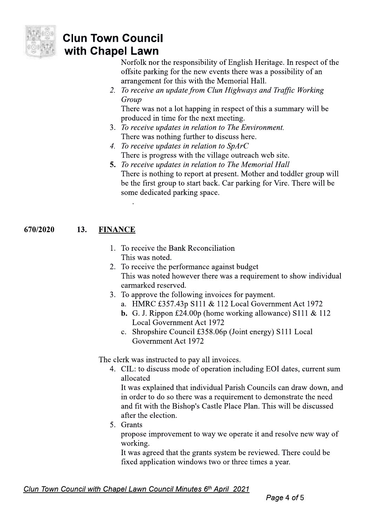

Norfolk nor the responsibility of English Heritage. In respect of the offsite parking for the new events there was a possibility of an arrangement for this with the Memorial Hall.

2. To receive an update from Clun Highways and Traffic Working Group

There was not a lot happing in respect of this a summary will be produced in time for the next meeting.

- 3. To receive updates in relation to The Environment. There was nothing further to discuss here.
- 4. To receive updates in relation to SpArC There is progress with the village outreach web site.
- 5. To receive updates in relation to The Memorial Hall There is nothing to report at present. Mother and toddler group will be the first group to start back. Car parking for Vire. There will be some dedicated parking space.

#### 670/2020  $13.$ **FINANCE**

- 1. To receive the Bank Reconciliation This was noted.
- 2. To receive the performance against budget This was noted however there was a requirement to show individual earmarked reserved.
- 3. To approve the following invoices for payment.
	- a. HMRC £357.43p S111 & 112 Local Government Act 1972
	- **b.** G. J. Rippon £24.00p (home working allowance) S111 & 112 **Local Government Act 1972**
	- c. Shropshire Council £358.06p (Joint energy) S111 Local Government Act 1972

The clerk was instructed to pay all invoices.

4. CIL: to discuss mode of operation including EOI dates, current sum allocated

It was explained that individual Parish Councils can draw down, and in order to do so there was a requirement to demonstrate the need and fit with the Bishop's Castle Place Plan. This will be discussed after the election.

5. Grants propose improvement to way we operate it and resolve new way of working.

It was agreed that the grants system be reviewed. There could be fixed application windows two or three times a year.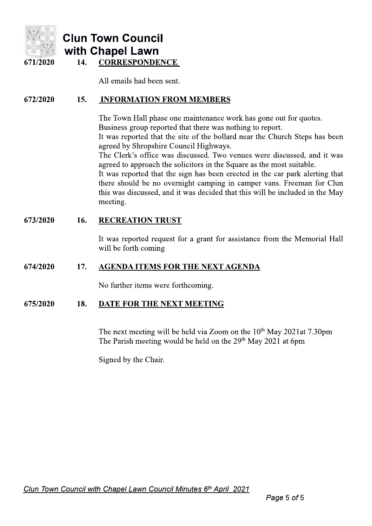

### **Clun Town Council**<br> **Clun Town Council**  $\blacksquare$  With Chapel Lawn 671/2020 14. CORRESPONDENCE

4 4 All emails had been sent.

### 6/2/2020 **15.** INFORMATION FROM MEMBERS

 $44.4$  4  $4.4$   $4.4$   $4.4$   $4.4$ The Town Hall phase one maintenance work has gone out for quotes. Business group reported that there was nothing to report. It was reported that the site of the bollard near the Church Steps has been agreed by Shropshire Council Highways. The Clerk's office was discussed. Two venues were discussed, and it was agreed to approach the solicitors in the Square as the most suitable. It was reported that the sign has been erected in the car park alerting that

there should be no overnight camping in camper vans. Freeman for Clun this was discussed, and it was decided that this will be included in the May meeting.

### $\frac{4}{\pi}$  ,  $\frac{4}{\pi}$  ,  $\frac{4}{\pi}$  ,  $\frac{4}{\pi}$  ,  $\frac{4}{\pi}$  ,  $\frac{4}{\pi}$  ,  $\frac{4}{\pi}$ 673/2020 16. RECREATION TRUST

4 4 4 It was reported request for a grant for assistance from the Memorial Hall will be forth coming

### 4 4 4 674/2020 17. AGENDA ITEMS FOR THE NEXT AGENDA

No further items were forthcoming.

### $\frac{4}{\sqrt{2}}$  4  $\frac{4}{\sqrt{2}}$  4  $\frac{4}{\sqrt{2}}$  4  $\frac{4}{\sqrt{2}}$  4  $\frac{4}{\sqrt{2}}$ 675/2020 18. DATE FOR THE NEXT MEETING

? The next meeting will be held via Zoom on the  $10^{th}$  May 2021at 7.30pm The Parish meeting would be held on the 29<sup>th</sup> May 2021 at 6pm

4 4 4 Signed by the Chair.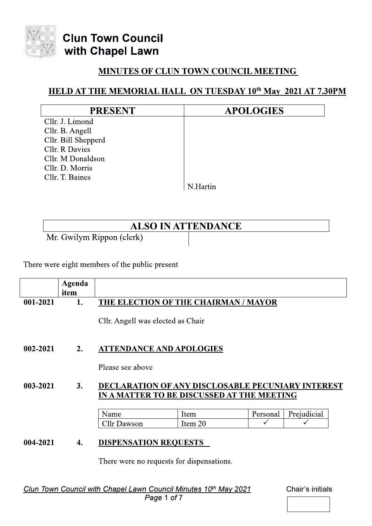

### **MINUTES OF CLUN TOWN COUNCIL MEETING**

### **HELD AT THE MEMORIAL HALL ON TUESDAY 10th May 2021 AT 7.30PM**

| <b>PRESENT</b>      | <b>APOLOGIES</b> |
|---------------------|------------------|
| Cllr. J. Limond     |                  |
| Cllr. B. Angell     |                  |
| Cllr. Bill Shepperd |                  |
| Cllr. R Davies      |                  |
| Cllr. M Donaldson   |                  |
| Cllr. D. Morris     |                  |
| Cllr. T. Baines     |                  |
|                     | N.Hartin         |

| <b>ALSO IN ATTENDANCE</b> |  |
|---------------------------|--|
| Mr. Gwilym Rippon (clerk) |  |

There were eight members of the public present

|              | Agenda<br>item |                                                                           |                                                                                                        |          |             |
|--------------|----------------|---------------------------------------------------------------------------|--------------------------------------------------------------------------------------------------------|----------|-------------|
| 001-2021     | 1.             |                                                                           | THE ELECTION OF THE CHAIRMAN / MAYOR                                                                   |          |             |
|              |                | Cllr. Angell was elected as Chair                                         |                                                                                                        |          |             |
| $002 - 2021$ | 2.             | <b>ATTENDANCE AND APOLOGIES</b>                                           |                                                                                                        |          |             |
|              |                | Please see above                                                          |                                                                                                        |          |             |
| 003-2021     | 3.             |                                                                           | <b>DECLARATION OF ANY DISCLOSABLE PECUNIARY INTEREST</b><br>IN A MATTER TO BE DISCUSSED AT THE MEETING |          |             |
|              |                | Name                                                                      | Item                                                                                                   | Personal | Prejudicial |
|              |                | Cllr Dawson                                                               | Item 20                                                                                                |          |             |
| 004-2021     | 4.             | <b>DISPENSATION REQUESTS</b><br>There were no requests for dispensations. |                                                                                                        |          |             |

Clun Town Council with Chapel Lawn Council Minutes 10th May 2021 Page 1 of 7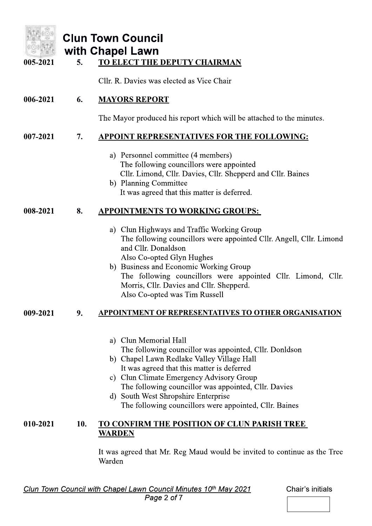

| 005-2021 | 5.  | <b>TO ELECT THE DEPUTY CHAIRMAN</b>                                                                                                                                                                                                                                                                                                                                              |
|----------|-----|----------------------------------------------------------------------------------------------------------------------------------------------------------------------------------------------------------------------------------------------------------------------------------------------------------------------------------------------------------------------------------|
|          |     | Cllr. R. Davies was elected as Vice Chair                                                                                                                                                                                                                                                                                                                                        |
| 006-2021 | 6.  | <b>MAYORS REPORT</b>                                                                                                                                                                                                                                                                                                                                                             |
|          |     | The Mayor produced his report which will be attached to the minutes.                                                                                                                                                                                                                                                                                                             |
| 007-2021 | 7.  | <b>APPOINT REPRESENTATIVES FOR THE FOLLOWING:</b>                                                                                                                                                                                                                                                                                                                                |
|          |     | a) Personnel committee (4 members)<br>The following councillors were appointed<br>Cllr. Limond, Cllr. Davies, Cllr. Shepperd and Cllr. Baines<br>b) Planning Committee<br>It was agreed that this matter is deferred.                                                                                                                                                            |
| 008-2021 | 8.  | <b>APPOINTMENTS TO WORKING GROUPS:</b>                                                                                                                                                                                                                                                                                                                                           |
|          |     | a) Clun Highways and Traffic Working Group<br>The following councillors were appointed Cllr. Angell, Cllr. Limond<br>and Cllr. Donaldson<br>Also Co-opted Glyn Hughes<br>b) Business and Economic Working Group<br>The following councillors were appointed Cllr. Limond, Cllr.<br>Morris, Cllr. Davies and Cllr. Shepperd.<br>Also Co-opted was Tim Russell                     |
| 009-2021 | 9.  | APPOINTMENT OF REPRESENTATIVES TO OTHER ORGANISATION                                                                                                                                                                                                                                                                                                                             |
|          |     | a) Clun Memorial Hall<br>The following councillor was appointed, Cllr. Donldson<br>b) Chapel Lawn Redlake Valley Village Hall<br>It was agreed that this matter is deferred<br>c) Clun Climate Emergency Advisory Group<br>The following councillor was appointed, Cllr. Davies<br>d) South West Shropshire Enterprise<br>The following councillors were appointed, Cllr. Baines |
| 010-2021 | 10. | <b>TO CONFIRM THE POSITION OF CLUN PARISH TREE</b><br>WARDEN                                                                                                                                                                                                                                                                                                                     |

It was agreed that Mr. Reg Maud would be invited to continue as the Tree Warden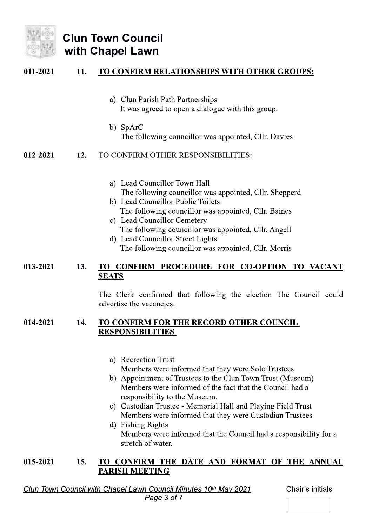

| 011-2021 | 11. | <b>TO CONFIRM RELATIONSHIPS WITH OTHER GROUPS:</b>                                                                                                                                                                                                                                                                                                                     |
|----------|-----|------------------------------------------------------------------------------------------------------------------------------------------------------------------------------------------------------------------------------------------------------------------------------------------------------------------------------------------------------------------------|
| 012-2021 | 12. | a) Clun Parish Path Partnerships<br>It was agreed to open a dialogue with this group.<br>b) SpArC<br>The following councillor was appointed, Cllr. Davies<br>TO CONFIRM OTHER RESPONSIBILITIES:                                                                                                                                                                        |
|          |     | a) Lead Councillor Town Hall<br>The following councillor was appointed, Cllr. Shepperd<br>b) Lead Councillor Public Toilets<br>The following councillor was appointed, Cllr. Baines<br>c) Lead Councillor Cemetery<br>The following councillor was appointed, Cllr. Angell<br>d) Lead Councillor Street Lights<br>The following councillor was appointed, Cllr. Morris |
| 013-2021 | 13. | CONFIRM PROCEDURE FOR CO-OPTION TO VACANT<br>TO<br><b>SEATS</b>                                                                                                                                                                                                                                                                                                        |

The Clerk confirmed that following the election The Council could advertise the vacancies.

#### 014-2021 TO CONFIRM FOR THE RECORD OTHER COUNCIL 14. **RESPONSIBILITIES**

- a) Recreation Trust Members were informed that they were Sole Trustees
- b) Appointment of Trustees to the Clun Town Trust (Museum) Members were informed of the fact that the Council had a responsibility to the Museum.
- c) Custodian Trustee Memorial Hall and Playing Field Trust Members were informed that they were Custodian Trustees
- d) Fishing Rights Members were informed that the Council had a responsibility for a stretch of water.

#### 015-2021  $15.$ TO CONFIRM THE DATE AND FORMAT OF THE ANNUAL **PARISH MEETING**

Clun Town Council with Chapel Lawn Council Minutes 10th May 2021 Page 3 of 7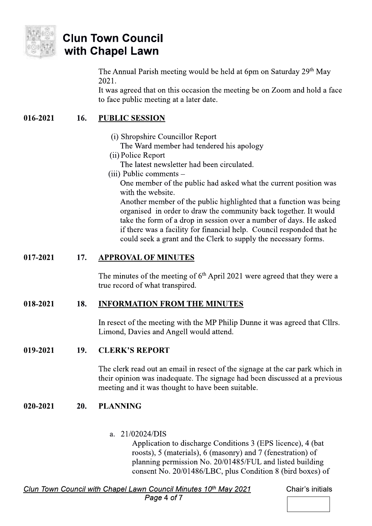

The Annual Parish meeting would be held at 6pm on Saturday 29<sup>th</sup> May  $2021.$ 

It was agreed that on this occasion the meeting be on Zoom and hold a face to face public meeting at a later date.

#### 016-2021 16. **PUBLIC SESSION**

- (i) Shropshire Councillor Report
	- The Ward member had tendered his apology
- (ii) Police Report
	- The latest newsletter had been circulated.
- $(iii)$  Public comments –

One member of the public had asked what the current position was with the website.

Another member of the public highlighted that a function was being organised in order to draw the community back together. It would take the form of a drop in session over a number of days. He asked if there was a facility for financial help. Council responded that he could seek a grant and the Clerk to supply the necessary forms.

#### 017-2021  $17.$ **APPROVAL OF MINUTES**

The minutes of the meeting of  $6<sup>th</sup>$  April 2021 were agreed that they were a true record of what transpired.

#### 018-2021 18. **INFORMATION FROM THE MINUTES**

In resect of the meeting with the MP Philip Dunne it was agreed that Cllrs. Limond, Davies and Angell would attend.

#### 019-2021 19. **CLERK'S REPORT**

The clerk read out an email in resect of the signage at the car park which in their opinion was inadequate. The signage had been discussed at a previous meeting and it was thought to have been suitable.

#### 020-2021 20. **PLANNING**

### a. 21/02024/DIS

Application to discharge Conditions 3 (EPS licence), 4 (bat) roosts), 5 (materials), 6 (masonry) and 7 (fenestration) of planning permission No. 20/01485/FUL and listed building consent No. 20/01486/LBC, plus Condition 8 (bird boxes) of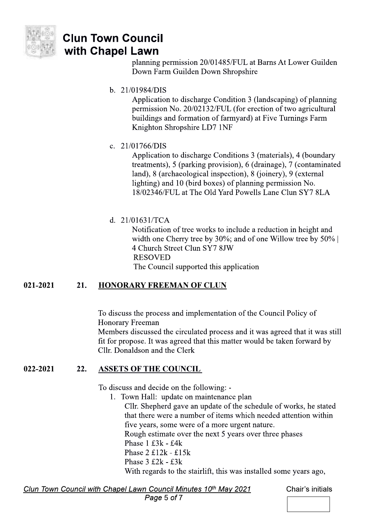

planning permission 20/01485/FUL at Barns At Lower Guilden Down Farm Guilden Down Shropshire

b. 21/01984/DIS

Application to discharge Condition 3 (landscaping) of planning permission No. 20/02132/FUL (for erection of two agricultural buildings and formation of farmyard) at Five Turnings Farm Knighton Shropshire LD7 1NF

c.  $21/01766/DIS$ 

Application to discharge Conditions 3 (materials), 4 (boundary treatments), 5 (parking provision), 6 (drainage), 7 (contaminated land), 8 (archaeological inspection), 8 (joinery), 9 (external lighting) and 10 (bird boxes) of planning permission No. 18/02346/FUL at The Old Yard Powells Lane Clun SY7 8LA

d.  $21/01631/TCA$ 

Notification of tree works to include a reduction in height and width one Cherry tree by 30%; and of one Willow tree by  $50\%$ 4 Church Street Clun SY7 8JW **RESOVED** The Council supported this application

#### 021-2021  $21.$ **HONORARY FREEMAN OF CLUN**

To discuss the process and implementation of the Council Policy of Honorary Freeman Members discussed the circulated process and it was agreed that it was still fit for propose. It was agreed that this matter would be taken forward by Cllr. Donaldson and the Clerk

#### 022-2021 22. **ASSETS OF THE COUNCIL**

To discuss and decide on the following: -

1. Town Hall: update on maintenance plan Cllr. Shepherd gave an update of the schedule of works, he stated that there were a number of items which needed attention within five years, some were of a more urgent nature. Rough estimate over the next 5 years over three phases Phase  $1$  £3 $k$  - £4 $k$ Phase  $2 \text{ } \pounds 12k - \pounds 15k$ Phase  $3 £2k - £3k$ With regards to the stairlift, this was installed some years ago,

Clun Town Council with Chapel Lawn Council Minutes 10th May 2021

Chair's initials

Page 5 of 7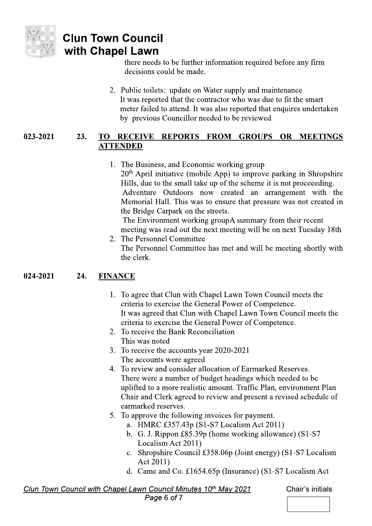

there needs to be further information required before any firm decisions could be made.

2. Public toilets: update on Water supply and maintenance It was reported that the contractor who was due to fit the smart meter failed to attend. It was also reported that enquires undertaken by previous Councillor needed to be reviewed

#### 023-2021 23. TO RECEIVE REPORTS FROM GROUPS OR MEETINGS **ATTENDED**

1. The Business, and Economic working group  $20<sup>th</sup>$  April initiative (mobile App) to improve parking in Shropshire Hills, due to the small take up of the scheme it is not proceeeding. Adventure Outdoors now created an arrangement with the Memorial Hall. This was to ensure that pressure was not created in the Bridge Carpark on the streets. The Environment working groupA summary from their recent

meeting was read out the next meeting will be on next Tuesday 18th 2. The Personnel Committee

The Personnel Committee has met and will be meeting shortly with the clerk.

#### 024-2021 24. **FINANCE**

- 1. To agree that Clun with Chapel Lawn Town Council meets the criteria to exercise the General Power of Competence. It was agreed that Clun with Chapel Lawn Town Council meets the criteria to exercise the General Power of Competence.
- 2. To receive the Bank Reconciliation This was noted
- 3. To receive the accounts year 2020-2021 The accounts were agreed
- 4. To review and consider allocation of Earmarked Reserves. There were a number of budget headings which needed to be uplifted to a more realistic amount. Traffic Plan, environment Plan Chair and Clerk agreed to review and present a revised schedule of earmarked reserves.
- 5. To approve the following invoices for payment.
	- a. HMRC £357.43p (S1-S7 Localism Act 2011)
	- b. G. J. Rippon  $\pounds 85.39p$  (home working allowance) (S1-S7 Localism Act 2011)
	- c. Shropshire Council £358.06p (Joint energy) (S1-S7 Localism Act 2011)
	- d. Came and Co. £1654.65p (Insurance) (S1-S7 Localism Act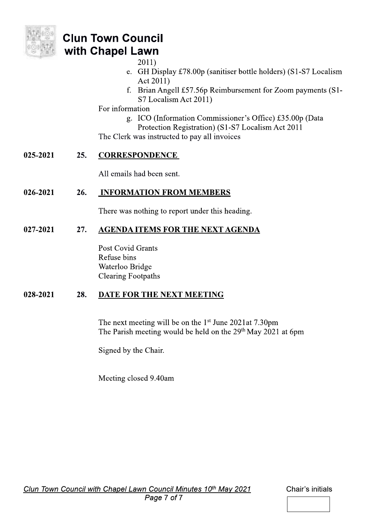

## **Clun Town Council**<br> **Clun Town Council Example 11 With Chapel Lawn**

2011)

- e. GH Display £78.00p (sanitiser bottle holders) (S1-S7 Localism Act 2011)
- f. Brian Angell £57.56p Reimbursement for Zoom payments  $(S1 -$ S7 Localism Act 2011)

For information

g. ICO (Information Commissioner's Office) £35.00p (Data Protection Registration) (S1-S7 Localism Act 2011

The Clerk was instructed to pay all invoices

### j je je predstavljanje predstavljanje predstavljanje predstavljanje predstavljanje predstavljanje predstavljan<br>Dogodki 025-2021 25. CORRESPONDENCE

j je postavlja i postavlja i postavlja i postavlja i postavlja i postavlja i postavlja i postavlja i postavlja<br>Događaji All emails had been sent.

### j 026-2021 26. <u>INFORMATION FROM MEMBERS</u>

There was nothing to report under this heading.

### $027$ -2021  $27.$   $\overline{AGENDA}$  items for the next agenda

j j Post Covid Grants Refuse bins Waterloo Bridge Clearing Footpaths

### j je je postala na svojih na svojih na svojih na svojih na svojih na svojih na svojih na svojih na svojih na s<br>Dogodki 028-2021 28. DATE FOR THE NEXT MEETING

j je stari pod svoji se na svoji se na svoji se na svoji se na svoji se na svoji se na svoji se na svoji se na<br>Svoji se na svoji se na svoji se na svoji se na svoji se na svoji se na svoji se na svoji se na svoji se na sv The next meeting will be on the 1<sup>st</sup> June 2021at 7.30pm The Parish meeting would be held on the 29<sup>th</sup> May 2021 at 6pm

j je je postala za nastavlja u predstavlja u predstavlja u predstavlja u predstavlja u predstavlja u predstavl<br>Dogodki Signed by the Chair.

> : Meeting closed 9.40am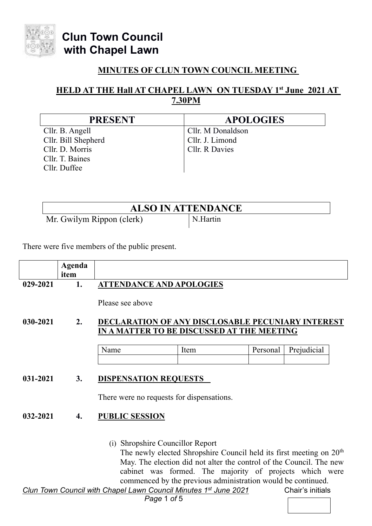

## **MINUTES OF CLUN TOWN COUNCIL MEETING**

### **HELD AT THE Hall AT CHAPEL LAWN ON TUESDAY 1st June 2021 AT 7.30PM**

| <b>APOLOGIES</b>  |
|-------------------|
| Cllr. M Donaldson |
| Cllr. J. Limond   |
| Cllr. R Davies    |
|                   |
|                   |
|                   |

|        |  | <b>ALSO IN ATTENDANCE</b> |  |
|--------|--|---------------------------|--|
| - ~ '1 |  | .                         |  |

Mr. Gwilym Rippon (clerk) N.Hartin

There were five members of the public present.

|          | Agenda<br>item |                              |                                                                                                                                                                                                                                                                                                                                                                                                |          |                  |  |  |  |
|----------|----------------|------------------------------|------------------------------------------------------------------------------------------------------------------------------------------------------------------------------------------------------------------------------------------------------------------------------------------------------------------------------------------------------------------------------------------------|----------|------------------|--|--|--|
| 029-2021 | 1.             |                              | <b>ATTENDANCE AND APOLOGIES</b>                                                                                                                                                                                                                                                                                                                                                                |          |                  |  |  |  |
|          |                | Please see above             |                                                                                                                                                                                                                                                                                                                                                                                                |          |                  |  |  |  |
| 030-2021 | 2.             |                              | <b>DECLARATION OF ANY DISCLOSABLE PECUNIARY INTEREST</b>                                                                                                                                                                                                                                                                                                                                       |          |                  |  |  |  |
|          |                |                              | IN A MATTER TO BE DISCUSSED AT THE MEETING                                                                                                                                                                                                                                                                                                                                                     |          |                  |  |  |  |
|          |                | Name                         | Item                                                                                                                                                                                                                                                                                                                                                                                           | Personal | Prejudicial      |  |  |  |
|          |                |                              |                                                                                                                                                                                                                                                                                                                                                                                                |          |                  |  |  |  |
| 031-2021 | 3.             | <b>DISPENSATION REQUESTS</b> | There were no requests for dispensations.                                                                                                                                                                                                                                                                                                                                                      |          |                  |  |  |  |
| 032-2021 | 4.             | <b>PUBLIC SESSION</b>        |                                                                                                                                                                                                                                                                                                                                                                                                |          |                  |  |  |  |
|          |                |                              | (i) Shropshire Councillor Report<br>The newly elected Shropshire Council held its first meeting on $20th$<br>May. The election did not alter the control of the Council. The new<br>cabinet was formed. The majority of projects which were<br>commenced by the previous administration would be continued.<br>Clun Town Council with Chapel Lawn Council Minutes 1st June 2021<br>Page 1 of 5 |          | Chair's initials |  |  |  |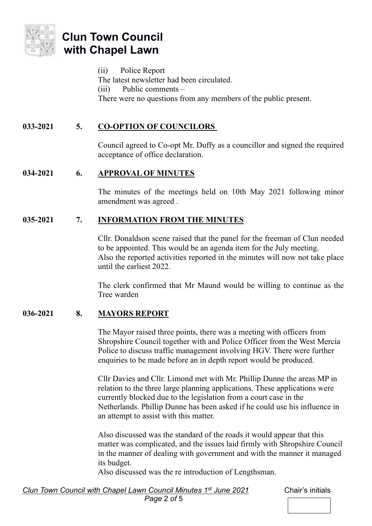

(ii) Police Report

The latest newsletter had been circulated.

(iii) Public comments –

There were no questions from any members of the public present.

### **033-2021 5. CO-OPTION OF COUNCILORS**

Council agreed to Co-opt Mr. Duffy as a councillor and signed the required acceptance of office declaration.

### **034-2021 6. APPROVAL OF MINUTES**

The minutes of the meetings held on 10th May 2021 following minor amendment was agreed .

### **035-2021 7. INFORMATION FROM THE MINUTES**

Cllr. Donaldson scene raised that the panel for the freeman of Clun needed to be appointed. This would be an agenda item for the July meeting. Also the reported activities reported in the minutes will now not take place until the earliest 2022.

The clerk confirmed that Mr Maund would be willing to continue as the Tree warden

### **036-2021 8. MAYORS REPORT**

The Mayor raised three points, there was a meeting with officers from Shropshire Council together with and Police Officer from the West Mercia Police to discuss traffic management involving HGV. There were further enquiries to be made before an in depth report would be produced.

Cllr Davies and Cllr. Limond met with Mr. Phillip Dunne the areas MP in relation to the three large planning applications. These applications were currently blocked due to the legislation from a court case in the Netherlands. Phillip Dunne has been asked if he could use his influence in an attempt to assist with this matter.

Also discussed was the standard of the roads it would appear that this matter was complicated, and the issues laid firmly with Shropshire Council in the manner of dealing with government and with the manner it managed its budget.

Also discussed was the re introduction of Lengthsman.

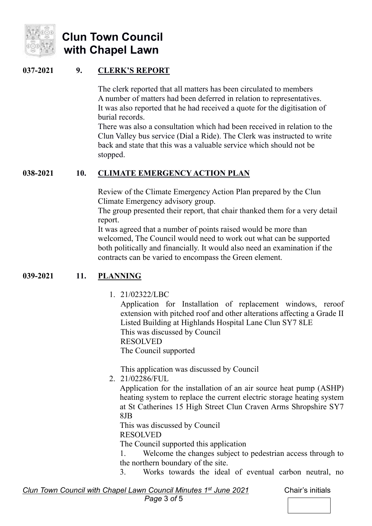

### **037-2021 9. CLERK'S REPORT**

 The clerk reported that all matters has been circulated to members A number of matters had been deferred in relation to representatives. It was also reported that he had received a quote for the digitisation of burial records.

There was also a consultation which had been received in relation to the Clun Valley bus service (Dial a Ride). The Clerk was instructed to write back and state that this was a valuable service which should not be stopped.

### **038-2021 10. CLIMATE EMERGENCY ACTION PLAN**

Review of the Climate Emergency Action Plan prepared by the Clun Climate Emergency advisory group.

The group presented their report, that chair thanked them for a very detail report.

It was agreed that a number of points raised would be more than welcomed, The Council would need to work out what can be supported both politically and financially. It would also need an examination if the contracts can be varied to encompass the Green element.

### **039-2021 11. PLANNING**

1. 21/02322/LBC

Application for Installation of replacement windows, reroof extension with pitched roof and other alterations affecting a Grade II Listed Building at Highlands Hospital Lane Clun SY7 8LE This was discussed by Council RESOLVED The Council supported

This application was discussed by Council

2. 21/02286/FUL

Application for the installation of an air source heat pump (ASHP) heating system to replace the current electric storage heating system at St Catherines 15 High Street Clun Craven Arms Shropshire SY7 8JB

This was discussed by Council

RESOLVED

The Council supported this application

1. Welcome the changes subject to pedestrian access through to the northern boundary of the site.

3. Works towards the ideal of eventual carbon neutral, no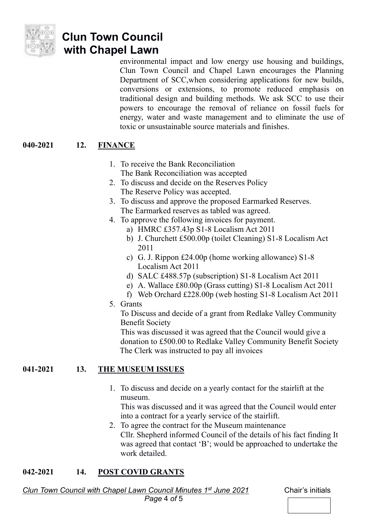

environmental impact and low energy use housing and buildings, Clun Town Council and Chapel Lawn encourages the Planning Department of SCC,when considering applications for new builds, conversions or extensions, to promote reduced emphasis on traditional design and building methods. We ask SCC to use their powers to encourage the removal of reliance on fossil fuels for energy, water and waste management and to eliminate the use of toxic or unsustainable source materials and finishes.

### **040-2021 12. FINANCE**

- 1. To receive the Bank Reconciliation The Bank Reconciliation was accepted
- 2. To discuss and decide on the Reserves Policy The Reserve Policy was accepted.
- 3. To discuss and approve the proposed Earmarked Reserves. The Earmarked reserves as tabled was agreed.
- 4. To approve the following invoices for payment.
	- a) HMRC £357.43p S1-8 Localism Act 2011
	- b) J. Churchett £500.00p (toilet Cleaning) S1-8 Localism Act 2011
	- c) G. J. Rippon £24.00p (home working allowance) S1-8 Localism Act 2011
	- d) SALC £488.57p (subscription) S1-8 Localism Act 2011
	- e) A. Wallace £80.00p (Grass cutting) S1-8 Localism Act 2011
	- f) Web Orchard £228.00p (web hosting S1-8 Localism Act 2011
- 5. Grants

To Discuss and decide of a grant from Redlake Valley Community Benefit Society

This was discussed it was agreed that the Council would give a donation to £500.00 to Redlake Valley Community Benefit Society The Clerk was instructed to pay all invoices

### **041-2021 13. THE MUSEUM ISSUES**

1. To discuss and decide on a yearly contact for the stairlift at the museum.

This was discussed and it was agreed that the Council would enter into a contract for a yearly service of the stairlift.

2. To agree the contract for the Museum maintenance Cllr. Shepherd informed Council of the details of his fact finding It was agreed that contact 'B'; would be approached to undertake the work detailed.

### **042-2021 14. POST COVID GRANTS**

*Clun Town Council with Chapel Lawn Council Minutes 1 st June 2021* Chair's initials  *Page* 4 *of* 5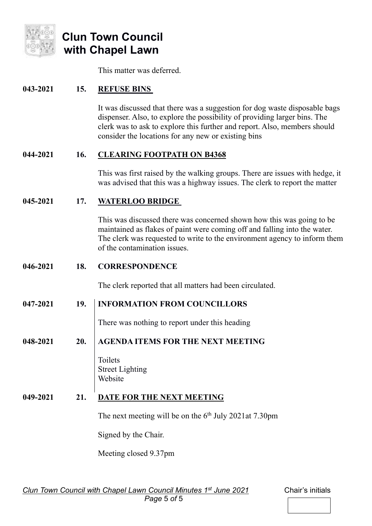

This matter was deferred.

### **043-2021 15. REFUSE BINS**

It was discussed that there was a suggestion for dog waste disposable bags dispenser. Also, to explore the possibility of providing larger bins. The clerk was to ask to explore this further and report. Also, members should consider the locations for any new or existing bins

### **044-2021 16. CLEARING FOOTPATH ON B4368**

This was first raised by the walking groups. There are issues with hedge, it was advised that this was a highway issues. The clerk to report the matter

### **045-2021 17. WATERLOO BRIDGE**

This was discussed there was concerned shown how this was going to be maintained as flakes of paint were coming off and falling into the water. The clerk was requested to write to the environment agency to inform them of the contamination issues.

| 046-2021 | 18. | <b>CORRESPONDENCE</b> |
|----------|-----|-----------------------|
|          |     |                       |

The clerk reported that all matters had been circulated.

**047-2021 19. INFORMATION FROM COUNCILLORS** 

There was nothing to report under this heading

**048-2021 20. AGENDA ITEMS FOR THE NEXT MEETING** 

Toilets Street Lighting Website

**049-2021 21. DATE FOR THE NEXT MEETING**

The next meeting will be on the  $6<sup>th</sup>$  July 2021at 7.30pm

Signed by the Chair.

Meeting closed 9.37pm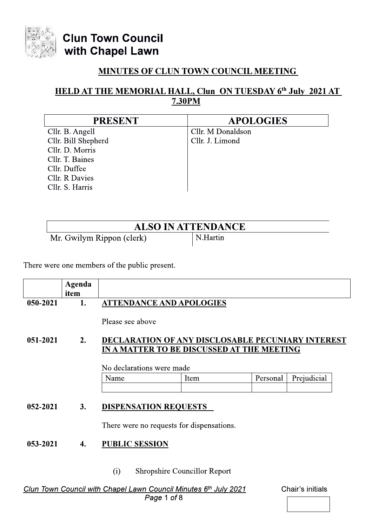

### **MINUTES OF CLUN TOWN COUNCIL MEETING**

### **HELD AT THE MEMORIAL HALL, Clun ON TUESDAY 6th July 2021 AT**  $7.30PM$

| <b>APOLOGIES</b>  |
|-------------------|
| Cllr. M Donaldson |
| Cllr. J. Limond   |
|                   |
|                   |
|                   |
|                   |
|                   |
|                   |

|                           | <b>ALSO IN ATTENDANCE</b> |
|---------------------------|---------------------------|
| Mr. Gwilym Rippon (clerk) | N.Hartin                  |

There were one members of the public present.

|          | Agenda |                                                          |                              |                                                                  |          |                  |  |
|----------|--------|----------------------------------------------------------|------------------------------|------------------------------------------------------------------|----------|------------------|--|
|          | item   |                                                          |                              |                                                                  |          |                  |  |
| 050-2021 | 1.     |                                                          |                              | <b>ATTENDANCE AND APOLOGIES</b>                                  |          |                  |  |
|          |        | Please see above                                         |                              |                                                                  |          |                  |  |
| 051-2021 | 2.     | <b>DECLARATION OF ANY DISCLOSABLE PECUNIARY INTEREST</b> |                              |                                                                  |          |                  |  |
|          |        |                                                          |                              | IN A MATTER TO BE DISCUSSED AT THE MEETING                       |          |                  |  |
|          |        |                                                          | No declarations were made    |                                                                  |          |                  |  |
|          |        | Name                                                     |                              | Item                                                             | Personal | Prejudicial      |  |
|          |        |                                                          |                              |                                                                  |          |                  |  |
| 052-2021 | 3.     |                                                          | <b>DISPENSATION REQUESTS</b> |                                                                  |          |                  |  |
|          |        | There were no requests for dispensations.                |                              |                                                                  |          |                  |  |
|          |        |                                                          |                              |                                                                  |          |                  |  |
| 053-2021 | 4.     | <b>PUBLIC SESSION</b>                                    |                              |                                                                  |          |                  |  |
|          |        |                                                          |                              |                                                                  |          |                  |  |
|          |        | (i)                                                      |                              | <b>Shropshire Councillor Report</b>                              |          |                  |  |
|          |        |                                                          |                              | Clun Town Council with Chapel Lawn Council Minutes 6th July 2021 |          | Chair's initials |  |
|          |        |                                                          | Page 1 of 8                  |                                                                  |          |                  |  |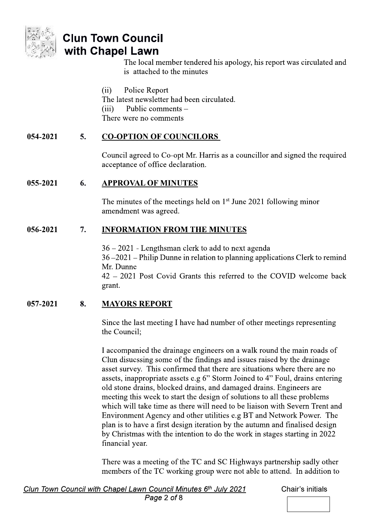

The local member tendered his apology, his report was circulated and is attached to the minutes

 $(ii)$ Police Report The latest newsletter had been circulated. Public comments  $(iii)$ There were no comments

#### 054-2021  $\overline{5}$ . **CO-OPTION OF COUNCILORS**

Council agreed to Co-opt Mr. Harris as a councillor and signed the required acceptance of office declaration.

#### 055-2021 6. **APPROVAL OF MINUTES**

The minutes of the meetings held on  $1<sup>st</sup>$  June 2021 following minor amendment was agreed.

#### 056-2021  $7.$ **INFORMATION FROM THE MINUTES**

 $36 - 2021$  - Lengthsman clerk to add to next agenda  $36 - 2021$  – Philip Dunne in relation to planning applications Clerk to remind Mr. Dunne 42 – 2021 Post Covid Grants this referred to the COVID welcome back grant.

#### 057-2021 **MAYORS REPORT** 8.

Since the last meeting I have had number of other meetings representing the Council:

I accompanied the drainage engineers on a walk round the main roads of Clun disucssing some of the findings and issues raised by the drainage asset survey. This confirmed that there are situations where there are no assets, inappropriate assets e.g 6" Storm Joined to 4" Foul, drains entering old stone drains, blocked drains, and damaged drains. Engineers are meeting this week to start the design of solutions to all these problems which will take time as there will need to be liaison with Severn Trent and Environment Agency and other utilities e.g BT and Network Power. The plan is to have a first design iteration by the autumn and finalised design by Christmas with the intention to do the work in stages starting in 2022 financial year.

There was a meeting of the TC and SC Highways partnership sadly other members of the TC working group were not able to attend. In addition to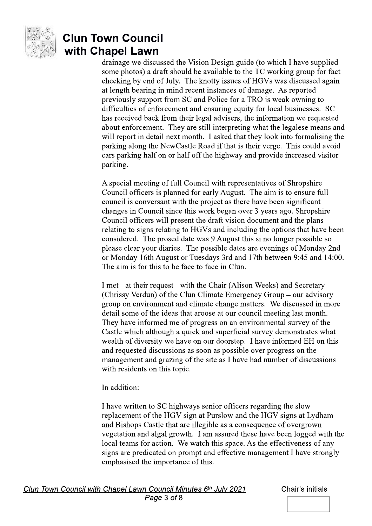

drainage we discussed the Vision Design guide (to which I have supplied some photos) a draft should be available to the TC working group for fact checking by end of July. The knotty issues of HGVs was discussed again at length bearing in mind recent instances of damage. As reported previously support from SC and Police for a TRO is weak owning to difficulties of enforcement and ensuring equity for local businesses. SC has received back from their legal advisers, the information we requested about enforcement. They are still interpreting what the legalese means and will report in detail next month. I asked that they look into formalising the parking along the NewCastle Road if that is their verge. This could avoid cars parking half on or half off the highway and provide increased visitor parking.

A special meeting of full Council with representatives of Shropshire Council officers is planned for early August. The aim is to ensure full council is conversant with the project as there have been significant changes in Council since this work began over 3 years ago. Shropshire Council officers will present the draft vision document and the plans relating to signs relating to HGVs and including the options that have been considered. The prosed date was 9 August this si no longer possible so please clear your diaries. The possible dates are evenings of Monday 2nd or Monday 16th August or Tuesdays 3rd and 17th between 9:45 and 14:00. The aim is for this to be face to face in Clun.

I met - at their request - with the Chair (Alison Weeks) and Secretary (Chrissy Verdun) of the Clun Climate Emergency Group – our advisory group on environment and climate change matters. We discussed in more detail some of the ideas that aroose at our council meeting last month. They have informed me of progress on an environmental survey of the Castle which although a quick and superficial survey demonstrates what wealth of diversity we have on our doorstep. I have informed EH on this and requested discussions as soon as possible over progress on the management and grazing of the site as I have had number of discussions with residents on this topic.

### In addition:

I have written to SC highways senior officers regarding the slow replacement of the HGV sign at Purslow and the HGV signs at Lydham and Bishops Castle that are illegible as a consequence of overgrown vegetation and algal growth. I am assured these have been logged with the local teams for action. We watch this space. As the effectiveness of any signs are predicated on prompt and effective management I have strongly emphasised the importance of this.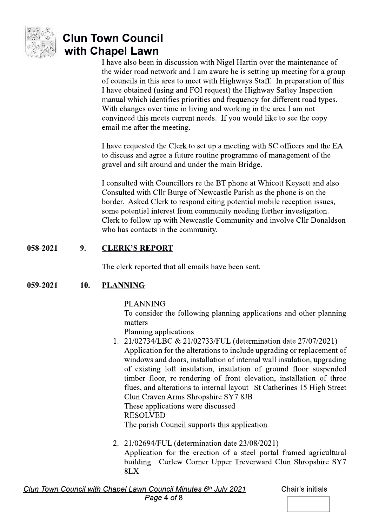

I have also been in discussion with Nigel Hartin over the maintenance of the wider road network and I am aware he is setting up meeting for a group of councils in this area to meet with Highways Staff. In preparation of this I have obtained (using and FOI request) the Highway Saftey Inspection manual which identifies priorities and frequency for different road types. With changes over time in living and working in the area I am not convinced this meets current needs. If you would like to see the copy email me after the meeting.

I have requested the Clerk to set up a meeting with SC officers and the EA to discuss and agree a future routine programme of management of the gravel and silt around and under the main Bridge.

I consulted with Councillors re the BT phone at Whicott Keysett and also Consulted with Cllr Burge of Newcastle Parish as the phone is on the border. Asked Clerk to respond citing potential mobile reception issues, some potential interest from community needing further investigation. Clerk to follow up with Newcastle Community and involve Cllr Donaldson who has contacts in the community.

#### 058-2021 9. **CLERK'S REPORT**

The clerk reported that all emails have been sent.

#### 059-2021 10. **PLANNING**

## **PLANNING**

To consider the following planning applications and other planning matters

Planning applications

- 1. 21/02734/LBC & 21/02733/FUL (determination date 27/07/2021) Application for the alterations to include upgrading or replacement of windows and doors, installation of internal wall insulation, upgrading of existing loft insulation, insulation of ground floor suspended timber floor, re-rendering of front elevation, installation of three flues, and alterations to internal layout | St Catherines 15 High Street Clun Craven Arms Shropshire SY7 8JB These applications were discussed **RESOLVED** The parish Council supports this application
- 2. 21/02694/FUL (determination date 23/08/2021) Application for the erection of a steel portal framed agricultural building | Curlew Corner Upper Treverward Clun Shropshire SY7  $8LX$

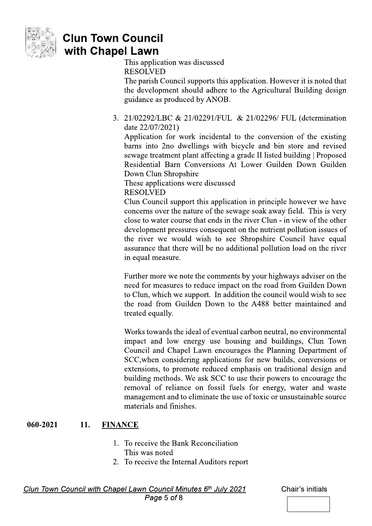

This application was discussed **RESOLVED** 

The parish Council supports this application. However it is noted that the development should adhere to the Agricultural Building design guidance as produced by ANOB.

3. 21/02292/LBC & 21/02291/FUL & 21/02296/ FUL (determination date 22/07/2021)

Application for work incidental to the conversion of the existing barns into 2no dwellings with bicycle and bin store and revised sewage treatment plant affecting a grade II listed building | Proposed Residential Barn Conversions At Lower Guilden Down Guilden Down Clun Shropshire

These applications were discussed **RESOLVED** 

Clun Council support this application in principle however we have concerns over the nature of the sewage soak away field. This is very close to water course that ends in the river Clun - in view of the other development pressures consequent on the nutrient pollution issues of the river we would wish to see Shropshire Council have equal assurance that there will be no additional pollution load on the river in equal measure.

Further more we note the comments by your highways adviser on the need for measures to reduce impact on the road from Guilden Down to Clun, which we support. In addition the council would wish to see the road from Guilden Down to the A488 better maintained and treated equally.

Works towards the ideal of eventual carbon neutral, no environmental impact and low energy use housing and buildings, Clun Town Council and Chapel Lawn encourages the Planning Department of SCC, when considering applications for new builds, conversions or extensions, to promote reduced emphasis on traditional design and building methods. We ask SCC to use their powers to encourage the removal of reliance on fossil fuels for energy, water and waste management and to eliminate the use of toxic or unsustainable source materials and finishes.

#### 060-2021 11. **FINANCE**

- 1. To receive the Bank Reconciliation This was noted
- 2. To receive the Internal Auditors report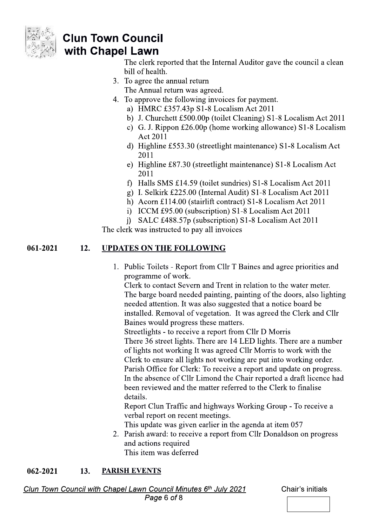

The clerk reported that the Internal Auditor gave the council a clean bill of health.

- 3. To agree the annual return The Annual return was agreed.
- 4. To approve the following invoices for payment.
	- a) HMRC £357.43p S1-8 Localism Act 2011
	- b) J. Churchett £500.00p (toilet Cleaning) S1-8 Localism Act 2011
	- c) G. J. Rippon  $\text{\pounds}26.00$  (home working allowance) S1-8 Localism Act 2011
	- d) Highline £553.30 (streetlight maintenance) S1-8 Localism Act 2011
	- e) Highline £87.30 (streetlight maintenance) S1-8 Localism Act 2011
	- f) Halls SMS £14.59 (toilet sundries) S1-8 Localism Act 2011
	- g) I. Selkirk £225.00 (Internal Audit) S1-8 Localism Act 2011
	- h) Acorn £114.00 (stairlift contract) S1-8 Localism Act 2011
	- i) ICCM £95.00 (subscription) S1-8 Localism Act 2011
	- i). SALC £488.57p (subscription) S1-8 Localism Act 2011

The clerk was instructed to pay all invoices

#### 061-2021 12. **UPDATES ON THE FOLLOWING**

1. Public Toilets - Report from Cllr T Baines and agree priorities and programme of work.

Clerk to contact Severn and Trent in relation to the water meter. The barge board needed painting, painting of the doors, also lighting needed attention. It was also suggested that a notice board be installed. Removal of vegetation. It was agreed the Clerk and Cllr Baines would progress these matters.

Streetlights - to receive a report from Cllr D Morris There 36 street lights. There are 14 LED lights. There are a number of lights not working It was agreed Cllr Morris to work with the Clerk to ensure all lights not working are put into working order. Parish Office for Clerk: To receive a report and update on progress. In the absence of Cllr Limond the Chair reported a draft licence had been reviewed and the matter referred to the Clerk to finalise details.

Report Clun Traffic and highways Working Group - To receive a verbal report on recent meetings.

This update was given earlier in the agenda at item 057

2. Parish award: to receive a report from Cllr Donaldson on progress and actions required This item was deferred

#### 062-2021  $13.$ **PARISH EVENTS**

Clun Town Council with Chapel Lawn Council Minutes 6th July 2021 Page 6 of 8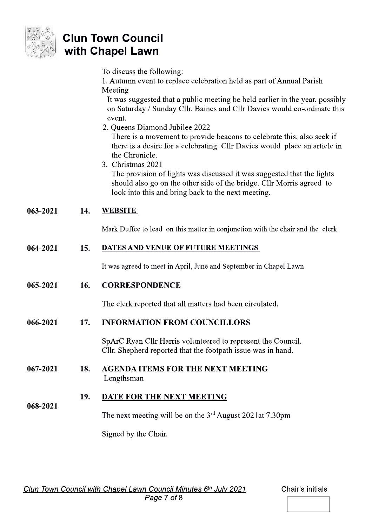

9 9 9

# - with Chapel Lawn **Chapel**

To discuss the following:

|          |     | 1. Autumn event to replace celebration held as part of Annual Parish<br>Meeting<br>It was suggested that a public meeting be held earlier in the year, possibly<br>on Saturday / Sunday Cllr. Baines and Cllr Davies would co-ordinate this<br>event.<br>2. Queens Diamond Jubilee 2022<br>There is a movement to provide beacons to celebrate this, also seek if<br>there is a desire for a celebrating. Cllr Davies would place an article in<br>the Chronicle.<br>3. Christmas 2021<br>The provision of lights was discussed it was suggested that the lights<br>should also go on the other side of the bridge. Cllr Morris agreed to<br>look into this and bring back to the next meeting. |  |  |
|----------|-----|-------------------------------------------------------------------------------------------------------------------------------------------------------------------------------------------------------------------------------------------------------------------------------------------------------------------------------------------------------------------------------------------------------------------------------------------------------------------------------------------------------------------------------------------------------------------------------------------------------------------------------------------------------------------------------------------------|--|--|
| 063-2021 | 14. | <b>WEBSITE</b>                                                                                                                                                                                                                                                                                                                                                                                                                                                                                                                                                                                                                                                                                  |  |  |
|          |     | Mark Duffee to lead on this matter in conjunction with the chair and the clerk                                                                                                                                                                                                                                                                                                                                                                                                                                                                                                                                                                                                                  |  |  |
| 064-2021 | 15. | <b>DATES AND VENUE OF FUTURE MEETINGS</b>                                                                                                                                                                                                                                                                                                                                                                                                                                                                                                                                                                                                                                                       |  |  |
|          |     | It was agreed to meet in April, June and September in Chapel Lawn                                                                                                                                                                                                                                                                                                                                                                                                                                                                                                                                                                                                                               |  |  |
| 065-2021 | 16. | <b>CORRESPONDENCE</b>                                                                                                                                                                                                                                                                                                                                                                                                                                                                                                                                                                                                                                                                           |  |  |
|          |     | The clerk reported that all matters had been circulated.                                                                                                                                                                                                                                                                                                                                                                                                                                                                                                                                                                                                                                        |  |  |
| 066-2021 | 17. | <b>INFORMATION FROM COUNCILLORS</b>                                                                                                                                                                                                                                                                                                                                                                                                                                                                                                                                                                                                                                                             |  |  |
|          |     | SpArC Ryan Cllr Harris volunteered to represent the Council.<br>Cllr. Shepherd reported that the footpath issue was in hand.                                                                                                                                                                                                                                                                                                                                                                                                                                                                                                                                                                    |  |  |
| 067-2021 | 18. | <b>AGENDA ITEMS FOR THE NEXT MEETING</b><br>Lengthsman                                                                                                                                                                                                                                                                                                                                                                                                                                                                                                                                                                                                                                          |  |  |
| 068-2021 | 19. | <b>DATE FOR THE NEXT MEETING</b>                                                                                                                                                                                                                                                                                                                                                                                                                                                                                                                                                                                                                                                                |  |  |
|          |     | The next meeting will be on the $3rd$ August 2021at 7.30pm                                                                                                                                                                                                                                                                                                                                                                                                                                                                                                                                                                                                                                      |  |  |
|          |     | Signed by the Chair.                                                                                                                                                                                                                                                                                                                                                                                                                                                                                                                                                                                                                                                                            |  |  |
|          |     | Clun Town Council with Chapel Lawn Council Minutes 6th July 2021<br>Chair's initials                                                                                                                                                                                                                                                                                                                                                                                                                                                                                                                                                                                                            |  |  |
|          |     | Page 7 of 8                                                                                                                                                                                                                                                                                                                                                                                                                                                                                                                                                                                                                                                                                     |  |  |
|          |     |                                                                                                                                                                                                                                                                                                                                                                                                                                                                                                                                                                                                                                                                                                 |  |  |
|          |     |                                                                                                                                                                                                                                                                                                                                                                                                                                                                                                                                                                                                                                                                                                 |  |  |
|          |     |                                                                                                                                                                                                                                                                                                                                                                                                                                                                                                                                                                                                                                                                                                 |  |  |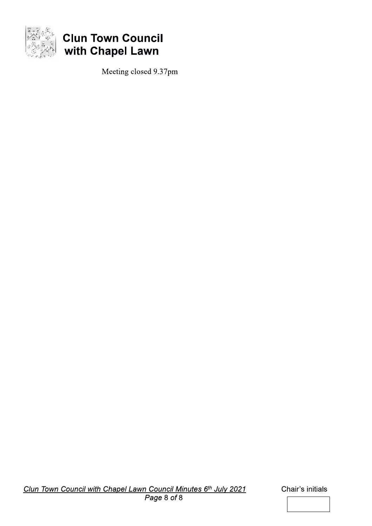

Meeting closed 9.37pm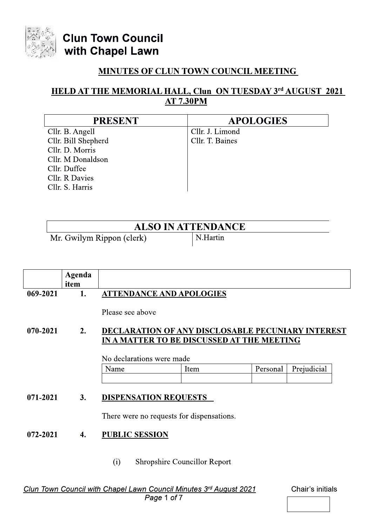

## **MINUTES OF CLUN TOWN COUNCIL MEETING**

## HELD AT THE MEMORIAL HALL, Clun ON TUESDAY 3rd AUGUST 2021 **AT 7.30PM**

| <b>APOLOGIES</b> |
|------------------|
| Cllr. J. Limond  |
| Cllr. T. Baines  |
|                  |
|                  |
|                  |
|                  |
|                  |
|                  |

| <b>ALSO IN ATTENDANCE</b> |          |  |  |  |
|---------------------------|----------|--|--|--|
| Mr. Gwilym Rippon (clerk) | N.Hartin |  |  |  |
|                           |          |  |  |  |
|                           |          |  |  |  |
| ------                    |          |  |  |  |

|              | Agenua |                                                          |                              |                                            |          |             |  |
|--------------|--------|----------------------------------------------------------|------------------------------|--------------------------------------------|----------|-------------|--|
|              | item   |                                                          |                              |                                            |          |             |  |
| 069-2021     | 1.     | <b>ATTENDANCE AND APOLOGIES</b>                          |                              |                                            |          |             |  |
|              |        | Please see above                                         |                              |                                            |          |             |  |
| 070-2021     | 2.     | <b>DECLARATION OF ANY DISCLOSABLE PECUNIARY INTEREST</b> |                              |                                            |          |             |  |
|              |        |                                                          |                              | IN A MATTER TO BE DISCUSSED AT THE MEETING |          |             |  |
|              |        |                                                          |                              |                                            |          |             |  |
|              |        |                                                          | No declarations were made    |                                            |          |             |  |
|              |        | Name                                                     |                              | Item                                       | Personal | Prejudicial |  |
|              |        |                                                          |                              |                                            |          |             |  |
| 071-2021     | 3.     |                                                          | <b>DISPENSATION REQUESTS</b> |                                            |          |             |  |
|              |        |                                                          |                              | There were no requests for dispensations.  |          |             |  |
| $072 - 2021$ | 4.     |                                                          | <b>PUBLIC SESSION</b>        |                                            |          |             |  |
|              |        | (i)                                                      |                              | <b>Shropshire Councillor Report</b>        |          |             |  |

Clun Town Council with Chapel Lawn Council Minutes 3rd August 2021 Page 1 of 7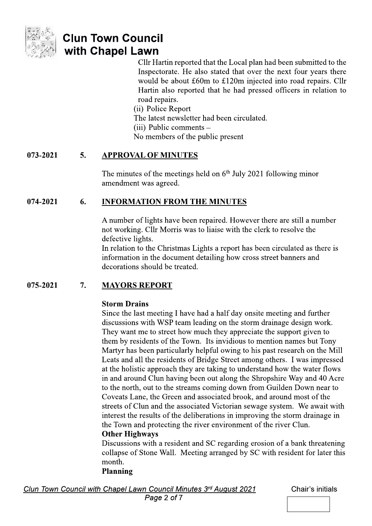

Cllr Hartin reported that the Local plan had been submitted to the Inspectorate. He also stated that over the next four years there would be about £60m to £120m injected into road repairs. Cllr Hartin also reported that he had pressed officers in relation to road repairs.

(ii) Police Report

The latest newsletter had been circulated.

 $(iii)$  Public comments  $-$ 

No members of the public present

#### 073-2021  $\overline{5}$ . **APPROVAL OF MINUTES**

The minutes of the meetings held on  $6<sup>th</sup>$  July 2021 following minor amendment was agreed.

#### 074-2021 6. **INFORMATION FROM THE MINUTES**

A number of lights have been repaired. However there are still a number not working. Cllr Morris was to liaise with the clerk to resolve the defective lights.

In relation to the Christmas Lights a report has been circulated as there is information in the document detailing how cross street banners and decorations should be treated.

#### 075-2021 7. **MAYORS REPORT**

### **Storm Drains**

Since the last meeting I have had a half day onsite meeting and further discussions with WSP team leading on the storm drainage design work. They want me to street how much they appreciate the support given to them by residents of the Town. Its invidious to mention names but Tony Martyr has been particularly helpful owing to his past research on the Mill Leats and all the residents of Bridge Street among others. I was impressed at the holistic approach they are taking to understand how the water flows in and around Clun having been out along the Shropshire Way and 40 Acre to the north, out to the streams coming down from Guilden Down near to Coveats Lane, the Green and associated brook, and around most of the streets of Clun and the associated Victorian sewage system. We await with interest the results of the deliberations in improving the storm drainage in the Town and protecting the river environment of the river Clun.

### **Other Highways**

Discussions with a resident and SC regarding erosion of a bank threatening collapse of Stone Wall. Meeting arranged by SC with resident for later this month.

### Planning

Clun Town Council with Chapel Lawn Council Minutes 3rd August 2021 Page 2 of 7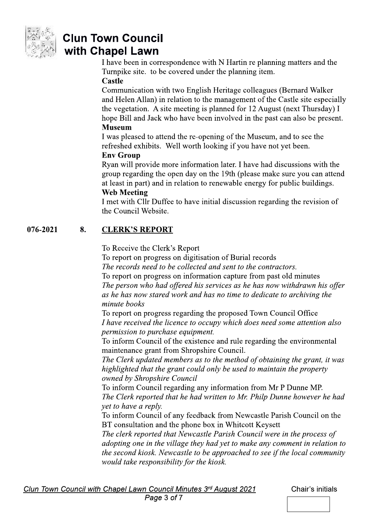

I have been in correspondence with N Hartin re planning matters and the Turnpike site. to be covered under the planning item.

### Castle

Communication with two English Heritage colleagues (Bernard Walker and Helen Allan) in relation to the management of the Castle site especially the vegetation. A site meeting is planned for 12 August (next Thursday) I hope Bill and Jack who have been involved in the past can also be present.

### **Museum**

I was pleased to attend the re-opening of the Museum, and to see the refreshed exhibits. Well worth looking if you have not yet been.

### **Env Group**

Ryan will provide more information later. I have had discussions with the group regarding the open day on the 19th (please make sure you can attend at least in part) and in relation to renewable energy for public buildings.

### **Web Meeting**

I met with Cllr Duffee to have initial discussion regarding the revision of the Council Website.

#### 076-2021 8. **CLERK'S REPORT**

To Receive the Clerk's Report

To report on progress on digitisation of Burial records The records need to be collected and sent to the contractors. To report on progress on information capture from past old minutes The person who had offered his services as he has now withdrawn his offer as he has now stared work and has no time to dedicate to archiving the minute books

To report on progress regarding the proposed Town Council Office I have received the licence to occupy which does need some attention also permission to purchase equipment.

To inform Council of the existence and rule regarding the environmental maintenance grant from Shropshire Council.

The Clerk updated members as to the method of obtaining the grant, it was highlighted that the grant could only be used to maintain the property owned by Shropshire Council

To inform Council regarding any information from Mr P Dunne MP. The Clerk reported that he had written to Mr. Philp Dunne however he had yet to have a reply.

To inform Council of any feedback from Newcastle Parish Council on the BT consultation and the phone box in Whitcott Keysett

The clerk reported that Newcastle Parish Council were in the process of adopting one in the village they had yet to make any comment in relation to the second kiosk. Newcastle to be approached to see if the local community would take responsibility for the kiosk.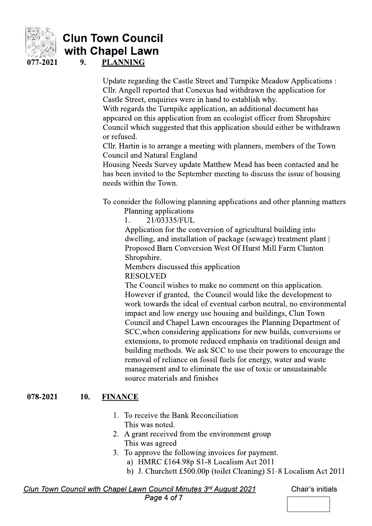

# - -  $\mathbb{Z}$  with Chapel Lawn

077-2021 9. PLANNING

? H H Update regarding the Castle Street and Turnpike Meadow Applications: Cllr. Angell reported that Conexus had withdrawn the application for Castle Street, enquiries were in hand to establish why.

With regards the Turnpike application, an additional document has appeared on this application from an ecologist officer from Shropshire Council which suggested that this application should either be withdrawn or refused.

Cllr. Hartin is to arrange a meeting with planners, members of the Town Council and Natural England

Housing Needs Survey update Matthew Mead has been contacted and he has been invited to the September meeting to discuss the issue of housing needs within the Town.

H Io consider the following planning applications and other planning matters Planning applications<br>1. 21/03335/FUL

21/03335/FUL

Application for the conversion of agricultural building into dwelling, and installation of package (sewage) treatment plant | Proposed Barn Conversion West Of Hurst Mill Farm Clunton Shropshire.

Members discussed this application

RESOLVED

The Council wishes to make no comment on this application. However if granted, the Council would like the development to work towards the ideal of eventual carbon neutral, no environmental impact and low energy use housing and buildings, Clun Town Council and Chapel Lawn encourages the Planning Department of  $SCC$ , when considering applications for new builds, conversions or extensions, to promote reduced emphasis on traditional design and building methods. We ask SCC to use their powers to encourage the removal of reliance on fossil fuels for energy, water and waste management and to eliminate the use of toxic or unsustainable source materials and finishes

### ? ? ? 078-2021 10. FINANCE

- 1. To receive the Bank Reconciliation This was noted.
- 2. A grant received from the environment group This was agreed
- 3. To approve the following invoices for payment.
	- a) HMRC  $£164.98p S1-8$  Localism Act 2011
	- b) J. Churchett £500.00p (toilet Cleaning) S1-8 Localism Act 2011

This was noted.<br>
2. A grant received from the environment group<br>
This was agreed<br>
3. To approve the following invoices for payment.<br>
a) HMRC £164.98p S1-8 Localism Act 2011<br>
b) J. Churchett £500.00p (toilet Cleaning) S1-8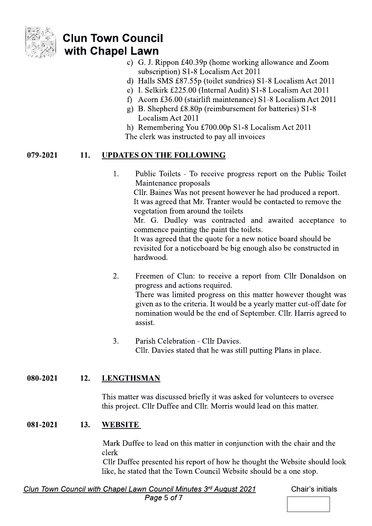

- c) G. J. Rippon  $\text{\pounds}40.39p$  (home working allowance and Zoom subscription) S1-8 Localism Act 2011
- d) Halls SMS £87.55p (toilet sundries) S1-8 Localism Act 2011
- e) I. Selkirk £225.00 (Internal Audit) S1-8 Localism Act 2011
- f) Acorn £36.00 (stairlift maintenance) S1-8 Localism Act 2011
- g) B. Shepherd £8.80p (reimbursement for batteries) S1-8 Localism Act 2011
- h) Remembering You £700.00p S1-8 Localism Act 2011
- The clerk was instructed to pay all invoices

#### 079-2021 11. **UPDATES ON THE FOLLOWING**

1. Public Toilets - To receive progress report on the Public Toilet Maintenance proposals Cllr. Baines Was not present however he had produced a report. It was agreed that Mr. Tranter would be contacted to remove the vegetation from around the toilets Mr. G. Dudley was contracted and awaited acceptance to commence painting the paint the toilets. It was agreed that the quote for a new notice board should be revisited for a noticeboard be big enough also be constructed in hardwood.

- 2. Freemen of Clun: to receive a report from Cllr Donaldson on progress and actions required. There was limited progress on this matter however thought was given as to the criteria. It would be a yearly matter cut-off date for nomination would be the end of September. Cllr. Harris agreed to assist.
- Parish Celebration Cllr Davies. 3. Cllr. Davies stated that he was still putting Plans in place.

#### 080-2021  $12.$ **LENGTHSMAN**

This matter was discussed briefly it was asked for volunteers to oversee this project. Cllr Duffee and Cllr. Morris would lead on this matter.

#### 081-2021 13. **WEBSITE**

Mark Duffee to lead on this matter in conjunction with the chair and the clerk

Cllr Duffee presented his report of how he thought the Website should look like, he stated that the Town Council Website should be a one stop.

Clun Town Council with Chapel Lawn Council Minutes 3rd August 2021 Page 5 of 7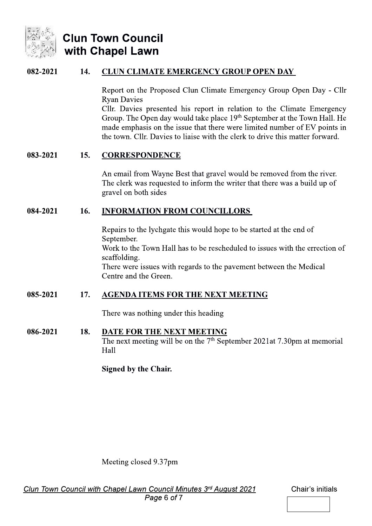

#### 082-2021 14. **CLUN CLIMATE EMERGENCY GROUP OPEN DAY**

Report on the Proposed Clun Climate Emergency Group Open Day - Cllr **Ryan Davies** 

Cllr. Davies presented his report in relation to the Climate Emergency Group. The Open day would take place 19<sup>th</sup> September at the Town Hall. He made emphasis on the issue that there were limited number of EV points in the town. Cllr. Davies to liaise with the clerk to drive this matter forward.

#### 083-2021 15. **CORRESPONDENCE**

An email from Wayne Best that gravel would be removed from the river. The clerk was requested to inform the writer that there was a build up of gravel on both sides

#### 084-2021 16. **INFORMATION FROM COUNCILLORS**

Repairs to the lychgate this would hope to be started at the end of September. Work to the Town Hall has to be rescheduled to issues with the errection of scaffolding. There were issues with regards to the pavement between the Medical Centre and the Green.

#### 085-2021 17. **AGENDA ITEMS FOR THE NEXT MEETING**

There was nothing under this heading

#### 086-2021 18. DATE FOR THE NEXT MEETING

The next meeting will be on the  $7<sup>th</sup>$  September 2021at 7.30pm at memorial Hall

### **Signed by the Chair.**

Meeting closed 9.37pm

Clun Town Council with Chapel Lawn Council Minutes 3rd August 2021 Page 6 of 7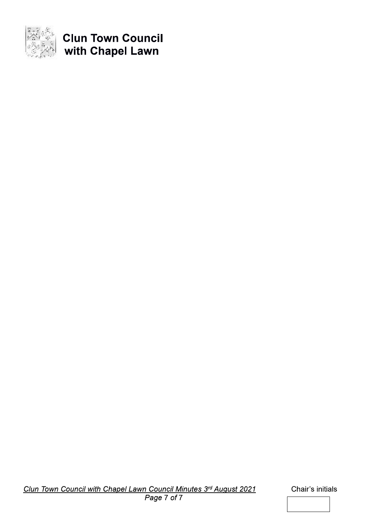

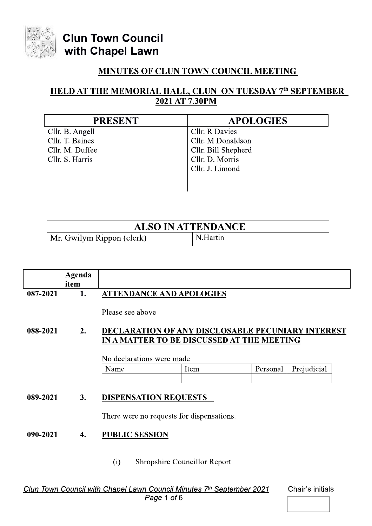

# - with Chapel Lawn **Chapel**

## MINUTES OF CLUN TOWN COUNCIL MEETING

## <u>HELD AT THE MEMORIAL HALL, CLUN\_ON TUESDAY 7<sup>th</sup> SEPTEMBER\_</u> 2021 AT 7.30PM

| <b>PRESENT</b>  | <b>APOLOGIES</b>    |
|-----------------|---------------------|
| Cllr. B. Angell | Cllr. R Davies      |
| Cllr. T. Baines | Cllr. M Donaldson   |
| Cllr. M. Duffee | Cllr. Bill Shepherd |
| Cllr. S. Harris | Cllr. D. Morris     |
|                 | Cllr. J. Limond     |
|                 |                     |
|                 |                     |

| <b>ALSO IN ATTENDANCE</b> |  |
|---------------------------|--|
|                           |  |

Mr. Gwilym Rippon (clerk) N.Hartin

|                                                                                           | <b>Agenda</b><br>item |                                                          |                           |                                           |                                            |             |  |  |  |
|-------------------------------------------------------------------------------------------|-----------------------|----------------------------------------------------------|---------------------------|-------------------------------------------|--------------------------------------------|-------------|--|--|--|
| 087-2021                                                                                  | 1.                    |                                                          |                           |                                           |                                            |             |  |  |  |
|                                                                                           |                       | <b>ATTENDANCE AND APOLOGIES</b>                          |                           |                                           |                                            |             |  |  |  |
|                                                                                           |                       | Please see above                                         |                           |                                           |                                            |             |  |  |  |
| 088-2021                                                                                  | 2.                    | <b>DECLARATION OF ANY DISCLOSABLE PECUNIARY INTEREST</b> |                           |                                           |                                            |             |  |  |  |
|                                                                                           |                       |                                                          |                           |                                           | IN A MATTER TO BE DISCUSSED AT THE MEETING |             |  |  |  |
|                                                                                           |                       |                                                          |                           |                                           |                                            |             |  |  |  |
|                                                                                           |                       |                                                          | No declarations were made |                                           |                                            |             |  |  |  |
|                                                                                           |                       | Name                                                     |                           | Item                                      | Personal                                   | Prejudicial |  |  |  |
|                                                                                           |                       |                                                          |                           |                                           |                                            |             |  |  |  |
| 089-2021                                                                                  | 3.                    | <b>DISPENSATION REQUESTS</b>                             |                           |                                           |                                            |             |  |  |  |
|                                                                                           |                       |                                                          |                           |                                           |                                            |             |  |  |  |
|                                                                                           |                       |                                                          |                           | There were no requests for dispensations. |                                            |             |  |  |  |
| 090-2021                                                                                  | $\boldsymbol{4}$ .    |                                                          | <b>PUBLIC SESSION</b>     |                                           |                                            |             |  |  |  |
|                                                                                           |                       |                                                          |                           |                                           |                                            |             |  |  |  |
|                                                                                           |                       |                                                          |                           |                                           |                                            |             |  |  |  |
|                                                                                           |                       | (i)                                                      |                           | Shropshire Councillor Report              |                                            |             |  |  |  |
|                                                                                           |                       |                                                          |                           |                                           |                                            |             |  |  |  |
| Clun Town Council with Chapel Lawn Council Minutes 7th September 2021<br>Chair's initials |                       |                                                          |                           |                                           |                                            |             |  |  |  |
|                                                                                           |                       | Page 1 of 6                                              |                           |                                           |                                            |             |  |  |  |
|                                                                                           |                       |                                                          |                           |                                           |                                            |             |  |  |  |
|                                                                                           |                       |                                                          |                           |                                           |                                            |             |  |  |  |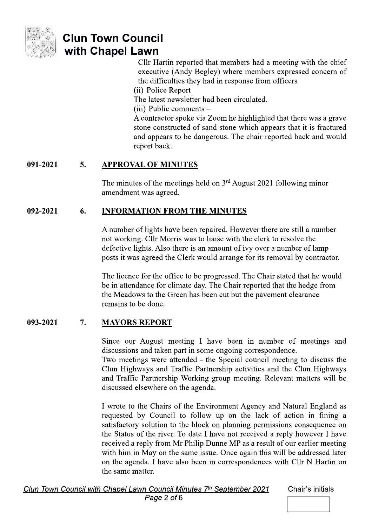

Cllr Hartin reported that members had a meeting with the chief executive (Andy Begley) where members expressed concern of the difficulties they had in response from officers (ii) Police Report

The latest newsletter had been circulated.

 $(iii)$  Public comments  $-$ 

A contractor spoke via Zoom he highlighted that there was a grave stone constructed of sand stone which appears that it is fractured and appears to be dangerous. The chair reported back and would report back.

#### 091-2021  $5.$ **APPROVAL OF MINUTES**

The minutes of the meetings held on  $3<sup>rd</sup>$  August 2021 following minor amendment was agreed.

#### 092-2021 6. **INFORMATION FROM THE MINUTES**

A number of lights have been repaired. However there are still a number not working. Cllr Morris was to liaise with the clerk to resolve the defective lights. Also there is an amount of ivy over a number of lamp posts it was agreed the Clerk would arrange for its removal by contractor.

The licence for the office to be progressed. The Chair stated that he would be in attendance for climate day. The Chair reported that the hedge from the Meadows to the Green has been cut but the pavement clearance remains to be done.

#### 093-2021 7. **MAYORS REPORT**

Since our August meeting I have been in number of meetings and discussions and taken part in some ongoing correspondence.

Two meetings were attended - the Special council meeting to discuss the Clun Highways and Traffic Partnership activities and the Clun Highways and Traffic Partnership Working group meeting. Relevant matters will be discussed elsewhere on the agenda.

I wrote to the Chairs of the Environment Agency and Natural England as requested by Council to follow up on the lack of action in fining a satisfactory solution to the block on planning permissions consequence on the Status of the river. To date I have not received a reply however I have received a reply from Mr Philip Dunne MP as a result of our earlier meeting with him in May on the same issue. Once again this will be addressed later on the agenda. I have also been in correspondences with Cllr N Hartin on the same matter.

Clun Town Council with Chapel Lawn Council Minutes 7th September 2021 Page 2 of 6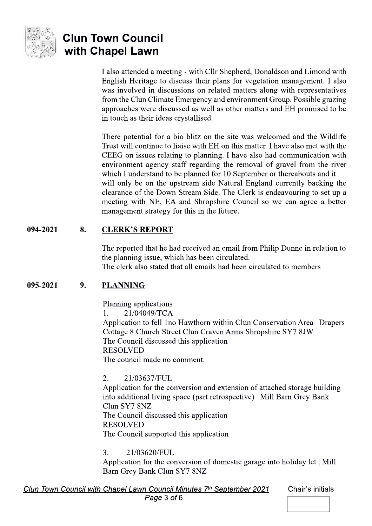

# - with Chapel Lawn **Chapel**

; I also attended a meeting - with CIIr Shepherd, Donaldson and Limond with English Heritage to discuss their plans for vegetation management. I also was involved in discussions on related matters along with representatives from the Clun Climate Emergency and environment Group. Possible grazing approaches were discussed as well as other matters and EH promised to be in touch as their ideas crystallised.

 $\mathbb{R}$ There potential for a bio blitz on the site was welcomed and the Wildlife Trust will continue to liaise with EH on this matter. I have also met with the CEEG on issues relating to planning. I have also had communication with environment agency staff regarding the removal of gravel from the river which I understand to be planned for 10 September or thereabouts and it will only be on the upstream side Natural England currently backing the clearance of the Down Stream Side. The Clerk is endeavouring to set up a meeting with NE, EA and Shropshire Council so we can agree a better management strategy for this in the future.

### e e estadounidense de la construction de la construction de la construction de la construction de la construct<br>La construction de la construction de la construction de la construction de la construction de la construction 094-2021 8. CLERK'S REPORT

e in the second control of the second control of the second control of the second control of the second control of the second control of the second control of the second control of the second control of the second control The reported that he had received an email from Philip Dunne in relation to the planning issue, which has been circulated. The clerk also stated that all emails had been circulated to members

### e e estadounidense en la construction de la construction de la construction de la construction de la construct<br>La construction de la construction de la construction de la construction de la construction de la construction 095-2021 9. PLANNING

e ; ; Planning applications<br>1. 21/04049/TCA

 $21/04049/TCA$ Application to fell 1no Hawthorn within Clun Conservation Area | Drapers Cottage 8 Church Street Clun Craven Arms Shropshire SY7 8JW The Council discussed this application RESOLVED The council made no comment.

### ;<br>;  $2. 21/03637/FUL$

The Council supported this application<br>
The Council supported this application<br>
3. 21/03620/FUL<br>
Application for the conversion of domestic garage into holiday let | Mill<br>
Barn Grey Bank Clun SY7 8NZ<br>
Clun Town Council wit Application for the conversion and extension of attached storage building into additional living space (part retrospective) | Mill Barn Grey Bank  $Clun$  SY7 8NZ The Council discussed this application RESOLVED The Council supported this application

 $3. 21/03620/FUL$ 

Application for the conversion of domestic garage into holiday let  $\vert$  Mill Barn Grey Bank Clun SY7 8NZ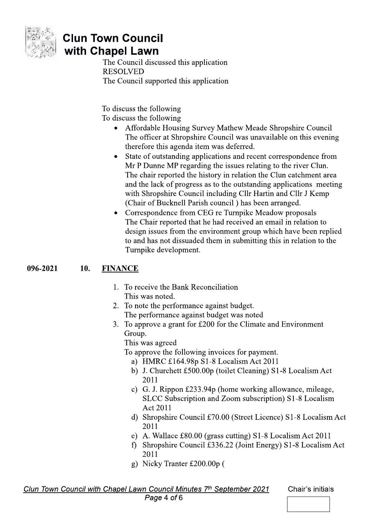

# - -  $\mathbb{Z}$  with Chapel Lawn

The Council discussed this application RESOLVED The Council supported this application

To discuss the following<br>To discuss the following

- Affordable Housing Survey Mathew Meade Shropshire Council The officer at Shropshire Council was unavailable on this evening therefore this agenda item was deferred.
- State of outstanding applications and recent correspondence from  $Mr$  P Dunne MP regarding the issues relating to the river Clun. The chair reported the history in relation the Clun catchment area and the lack of progress as to the outstanding applications meeting with Shropshire Council including Cllr Hartin and Cllr J Kemp (Chair of Bucknell Parish council) has been arranged.
- Correspondence from CEG re Turnpike Meadow proposals The Chair reported that he had received an email in relation to design issues from the environment group which have been replied to and has not dissuaded them in submitting this in relation to the Turnpike development.

### g g g 096-2021 10. FINANCE

- 1. To receive the Bank Reconciliation This was noted.
- 2. To note the performance against budget. The performance against budget was noted
- 3. To approve a grant for £200 for the Climate and Environment Group.
	- This was agreed
	- To approve the following invoices for payment.
		- a) HMRC  $\text{\pounds}164.98p~\text{S}1-8$  Localism Act 2011
		- b) J. Churchett £500.00p (toilet Cleaning) S1-8 Localism Act 2011
		- c) G. J. Rippon  $\pounds$ 233.94p (home working allowance, mileage, SLCC Subscription and Zoom subscription) S1-8 Localism Act 2011
		- d) Shropshire Council £70.00 (Street Licence) S1-8 Localism Act  $2011$
		- e) A. Wallace £80.00 (grass cutting)  $S1-8$  Localism Act 2011
		- f) Shropshire Council £336.22 (Joint Energy)  $S1-8$  Localism Act  $2011$
		- g) Nicky Tranter £200.00p (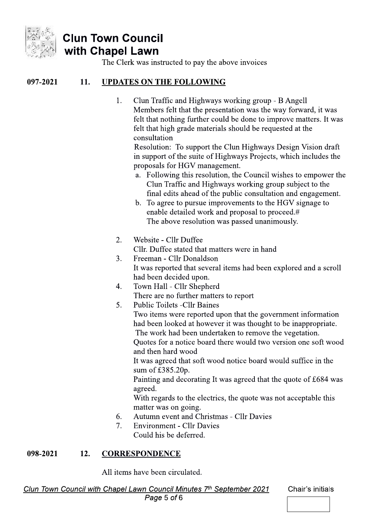

The Clerk was instructed to pay the above invoices

#### 097-2021 11. **UPDATES ON THE FOLLOWING**

 $1<sub>1</sub>$ Clun Traffic and Highways working group - B Angell Members felt that the presentation was the way forward, it was felt that nothing further could be done to improve matters. It was felt that high grade materials should be requested at the consultation

Resolution: To support the Clun Highways Design Vision draft in support of the suite of Highways Projects, which includes the proposals for HGV management.

- a. Following this resolution, the Council wishes to empower the Clun Traffic and Highways working group subject to the final edits ahead of the public consultation and engagement.
- b. To agree to pursue improvements to the HGV signage to enable detailed work and proposal to proceed.# The above resolution was passed unanimously.
- Website Cllr Duffee  $\overline{2}$ .
	- Cllr. Duffee stated that matters were in hand
- $3.$ Freeman - Cllr Donaldson It was reported that several items had been explored and a scroll had been decided upon.
- $\overline{4}$ . Town Hall - Cllr Shepherd There are no further matters to report
- $5<sub>1</sub>$ **Public Toilets - Cllr Baines** Two items were reported upon that the government information had been looked at however it was thought to be inappropriate. The work had been undertaken to remove the vegetation. Quotes for a notice board there would two version one soft wood and then hard wood It was agreed that soft wood notice board would suffice in the sum of £385.20p. Painting and decorating It was agreed that the quote of £684 was agreed. With regards to the electrics, the quote was not acceptable this matter was on going.
- Autumn event and Christmas Cllr Davies 6.
- $7<sub>1</sub>$ **Environment - Cllr Davies** Could his be deferred.

#### 098-2021 12. **CORRESPONDENCE**

All items have been circulated.

Clun Town Council with Chapel Lawn Council Minutes 7th September 2021 Page 5 of 6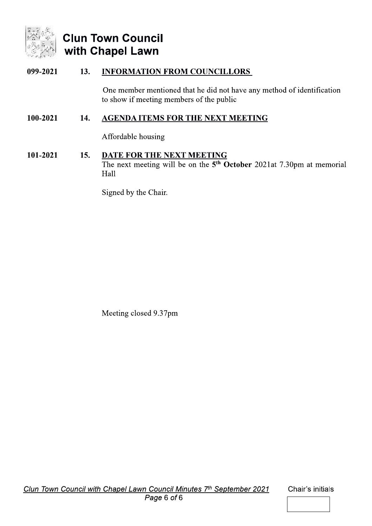

#### 099-2021 **INFORMATION FROM COUNCILLORS** 13.

One member mentioned that he did not have any method of identification to show if meeting members of the public

#### 100-2021 **AGENDA ITEMS FOR THE NEXT MEETING** 14.

Affordable housing

**DATE FOR THE NEXT MEETING**<br>The next meeting will be on the 5<sup>th</sup> October 2021at 7.30pm at memorial 101-2021 15. Hall

Signed by the Chair.

Meeting closed 9.37pm

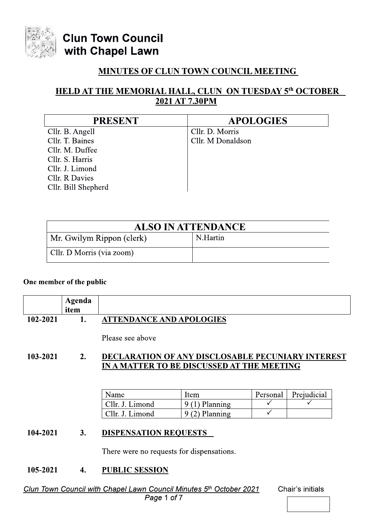

## MINUTES OF CLUN TOWN COUNCIL MEETING

## **HELD AT THE MEMORIAL HALL, CLUN ON TUESDAY 5<sup>th</sup> OCTOBER** 2021 AT 7.30PM

| <b>PRESENT</b>      | <b>APOLOGIES</b>  |
|---------------------|-------------------|
| Cllr. B. Angell     | Cllr. D. Morris   |
| Cllr. T. Baines     | Cllr. M Donaldson |
| Cllr. M. Duffee     |                   |
| Cllr. S. Harris     |                   |
| Cllr. J. Limond     |                   |
| Cllr. R Davies      |                   |
| Cllr. Bill Shepherd |                   |
|                     |                   |

| <b>ALSO IN ATTENDANCE</b> |          |  |  |
|---------------------------|----------|--|--|
| Mr. Gwilym Rippon (clerk) | N.Hartin |  |  |
| Cllr. D Morris (via zoom) |          |  |  |

### One member of the public

|          | Agenda<br>item |                                 |
|----------|----------------|---------------------------------|
| 102-2021 |                | <b>ATTENDANCE AND APOLOGIES</b> |

Please see above

#### 103-2021  $2.$ DECLARATION OF ANY DISCLOSABLE PECUNIARY INTEREST IN A MATTER TO BE DISCUSSED AT THE MEETING

| Name            | Item            | Personal Prejudicial |
|-----------------|-----------------|----------------------|
| Cllr. J. Limond | $9(1)$ Planning |                      |
| Cllr. J. Limond | $9(2)$ Planning |                      |

#### 104-2021 **DISPENSATION REQUESTS**  $3.$

There were no requests for dispensations.

#### 105-2021 **PUBLIC SESSION**  $\overline{4}$ .

Clun Town Council with Chapel Lawn Council Minutes 5th October 2021 Page 1 of 7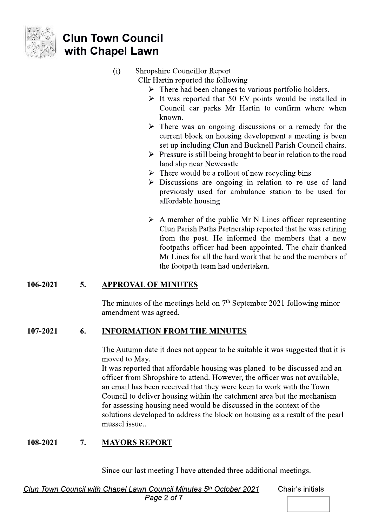

### $(i)$ Shropshire Councillor Report Cllr Hartin reported the following  $\triangleright$  There had been changes to various portfolio holders.  $\triangleright$  It was reported that 50 EV points would be installed in Council car parks Mr Hartin to confirm where when known.  $\triangleright$  There was an ongoing discussions or a remedy for the current block on housing development a meeting is been set up including Clun and Bucknell Parish Council chairs.  $\triangleright$  Pressure is still being brought to bear in relation to the road land slip near Newcastle There would be a rollout of new recycling bins ➤  $\triangleright$  Discussions are ongoing in relation to re use of land previously used for ambulance station to be used for affordable housing

 $\triangleright$  A member of the public Mr N Lines officer representing Clun Parish Paths Partnership reported that he was retiring from the post. He informed the members that a new footpaths officer had been appointed. The chair thanked Mr Lines for all the hard work that he and the members of the footpath team had undertaken.

#### 106-2021  $5.$ **APPROVAL OF MINUTES**

The minutes of the meetings held on  $7<sup>th</sup>$  September 2021 following minor amendment was agreed.

#### 107-2021 6. **INFORMATION FROM THE MINUTES**

The Autumn date it does not appear to be suitable it was suggested that it is moved to May.

It was reported that affordable housing was planed to be discussed and an officer from Shropshire to attend. However, the officer was not available, an email has been received that they were keen to work with the Town Council to deliver housing within the catchment area but the mechanism for assessing housing need would be discussed in the context of the solutions developed to address the block on housing as a result of the pearl mussel issue..

#### 108-2021 **MAYORS REPORT**  $7.$

Since our last meeting I have attended three additional meetings.

Clun Town Council with Chapel Lawn Council Minutes 5th October 2021 Page 2 of 7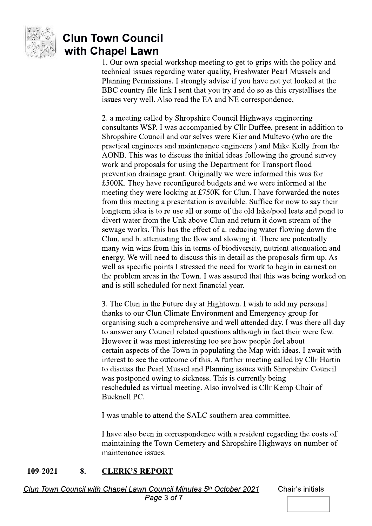

1. Our own special workshop meeting to get to grips with the policy and technical issues regarding water quality, Freshwater Pearl Mussels and Planning Permissions. I strongly advise if you have not yet looked at the BBC country file link I sent that you try and do so as this crystallises the issues very well. Also read the EA and NE correspondence,

2. a meeting called by Shropshire Council Highways engineering consultants WSP. I was accompanied by Cllr Duffee, present in addition to Shropshire Council and our selves were Kier and Multevo (who are the practical engineers and maintenance engineers) and Mike Kelly from the AONB. This was to discuss the initial ideas following the ground survey work and proposals for using the Department for Transport flood prevention drainage grant. Originally we were informed this was for £500K. They have reconfigured budgets and we were informed at the meeting they were looking at £750K for Clun. I have forwarded the notes from this meeting a presentation is available. Suffice for now to say their longterm idea is to re use all or some of the old lake/pool leats and pond to divert water from the Unk above Clun and return it down stream of the sewage works. This has the effect of a. reducing water flowing down the Clun, and b. attenuating the flow and slowing it. There are potentially many win wins from this in terms of biodiversity, nutrient attenuation and energy. We will need to discuss this in detail as the proposals firm up. As well as specific points I stressed the need for work to begin in earnest on the problem areas in the Town. I was assured that this was being worked on and is still scheduled for next financial year.

3. The Clun in the Future day at Hightown. I wish to add my personal thanks to our Clun Climate Environment and Emergency group for organising such a comprehensive and well attended day. I was there all day to answer any Council related questions although in fact their were few. However it was most interesting too see how people feel about certain aspects of the Town in populating the Map with ideas. I await with interest to see the outcome of this. A further meeting called by Cllr Hartin to discuss the Pearl Mussel and Planning issues with Shropshire Council was postponed owing to sickness. This is currently being rescheduled as virtual meeting. Also involved is Cllr Kemp Chair of Bucknell PC.

I was unable to attend the SALC southern area committee.

I have also been in correspondence with a resident regarding the costs of maintaining the Town Cemetery and Shropshire Highways on number of maintenance issues.

#### 109-2021 8. **CLERK'S REPORT**

Clun Town Council with Chapel Lawn Council Minutes 5th October 2021 Page 3 of 7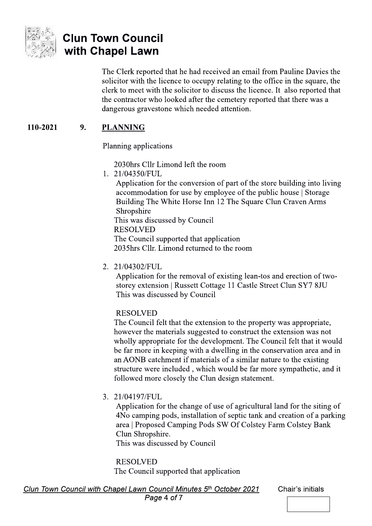

The Clerk reported that he had received an email from Pauline Davies the solicitor with the licence to occupy relating to the office in the square, the clerk to meet with the solicitor to discuss the licence. It also reported that the contractor who looked after the cemetery reported that there was a dangerous gravestone which needed attention.

#### 110-2021 9. **PLANNING**

Planning applications

2030hrs Cllr Limond left the room

 $1.21/04350/FU$ L

Application for the conversion of part of the store building into living accommodation for use by employee of the public house | Storage Building The White Horse Inn 12 The Square Clun Craven Arms Shropshire

This was discussed by Council **RESOLVED** The Council supported that application 2035hrs Cllr. Limond returned to the room

2. 21/04302/FUL

Application for the removal of existing lean-tos and erection of twostorey extension | Russett Cottage 11 Castle Street Clun SY7 8JU This was discussed by Council

### **RESOLVED**

The Council felt that the extension to the property was appropriate, however the materials suggested to construct the extension was not wholly appropriate for the development. The Council felt that it would be far more in keeping with a dwelling in the conservation area and in an AONB catchment if materials of a similar nature to the existing structure were included, which would be far more sympathetic, and it followed more closely the Clun design statement.

3. 21/04197/FUL

Application for the change of use of agricultural land for the siting of 4No camping pods, installation of septic tank and creation of a parking area | Proposed Camping Pods SW Of Colstey Farm Colstey Bank Clun Shropshire.

This was discussed by Council

**RESOLVED** 

The Council supported that application

Clun Town Council with Chapel Lawn Council Minutes 5th October 2021 Page 4 of 7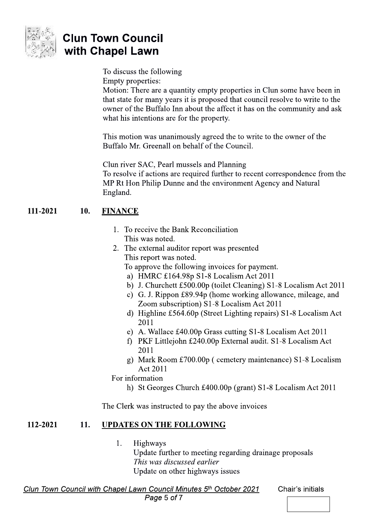

# - with Chapel Lawn **Chapel**

:<br>: . To discuss the following Empty properties:

Motion: There are a quantity empty properties in Clun some have been in that state for many years it is proposed that council resolve to write to the owner of the Buffalo Inn about the affect it has on the community and ask what his intentions are for the property.

: I his motion was unanimously agreed the to write to the owner of the Buffalo Mr. Greenall on behalf of the Council.

: Clun river SAC, Pearl mussels and Planning<br>— To resolve if actions are required further to recent correspondence from the MP Rt Hon Philip Dunne and the environment Agency and Natural England.

## 111-2021 10. FINANCE

- 1. To receive the Bank Reconciliation This was noted.
- 2. The external auditor report was presented This report was noted.

To approve the following invoices for payment.

- a) HMRC £164.98p S1-8 Localism Act 2011
- b) J. Churchett £500.00p (toilet Cleaning) S1-8 Localism Act 2011
- c) G. J. Rippon £89.94p (home working allowance, mileage, and Zoom subscription) S1-8 Localism Act 2011
- d) Highline  $£564.60p$  (Street Lighting repairs) S1-8 Localism Act 2011
- e) A. Wallace £40.00p Grass cutting S1-8 Localism Act 2011
- f) PKF Littlejohn £240.00p External audit. S1-8 Localism Act 2011
- g) Mark Room £700.00p ( cemetery maintenance) S1-8 Localism Act 2011

For information

h) St Georges Church £400.00p (grant) S1-8 Localism Act 2011

:<br>. The Clerk was instructed to pay the above invoices

### c c c 112-2021 11. UPDATES ON THE FOLLOWING

1. Highways

112-2021 11. **UPDATES ON THE FOLLOWING**<br>
1. Highways<br>
Update further to meeting regarding drainage proposals<br> *This was discussed earlier*<br>
Update on other highways issues<br>
Clun Town Council with Chapel Lawn Council Minut Update further to meeting regarding drainage proposals This was discussed earlier Update on other highways issues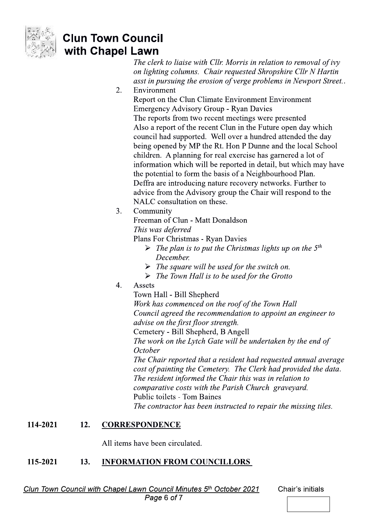

The clerk to liaise with Cllr. Morris in relation to removal of ivy on lighting columns. Chair requested Shropshire Cllr N Hartin asst in pursuing the erosion of verge problems in Newport Street..

 $\overline{2}$ . Environment

Report on the Clun Climate Environment Environment **Emergency Advisory Group - Ryan Davies** The reports from two recent meetings were presented Also a report of the recent Clun in the Future open day which council had supported. Well over a hundred attended the day being opened by MP the Rt. Hon P Dunne and the local School children. A planning for real exercise has garnered a lot of information which will be reported in detail, but which may have the potential to form the basis of a Neighbourhood Plan. Deffra are introducing nature recovery networks. Further to advice from the Advisory group the Chair will respond to the NALC consultation on these.

 $3.$ Community

Freeman of Clun - Matt Donaldson

This was deferred

Plans For Christmas - Ryan Davies

- $\triangleright$  The plan is to put the Christmas lights up on the 5<sup>th</sup> December.
- $\triangleright$  The square will be used for the switch on.
- $\triangleright$  The Town Hall is to be used for the Grotto
- $\overline{4}$ . Assets

Town Hall - Bill Shepherd Work has commenced on the roof of the Town Hall Council agreed the recommendation to appoint an engineer to advise on the first floor strength. Cemetery - Bill Shepherd, B Angell The work on the Lytch Gate will be undertaken by the end of October The Chair reported that a resident had requested annual average cost of painting the Cemetery. The Clerk had provided the data. The resident informed the Chair this was in relation to comparative costs with the Parish Church graveyard. Public toilets - Tom Baines The contractor has been instructed to repair the missing tiles.

#### 114-2021  $12.$ **CORRESPONDENCE**

All items have been circulated.

#### 115-2021  $13.$ **INFORMATION FROM COUNCILLORS**

Clun Town Council with Chapel Lawn Council Minutes 5th October 2021 Page 6 of 7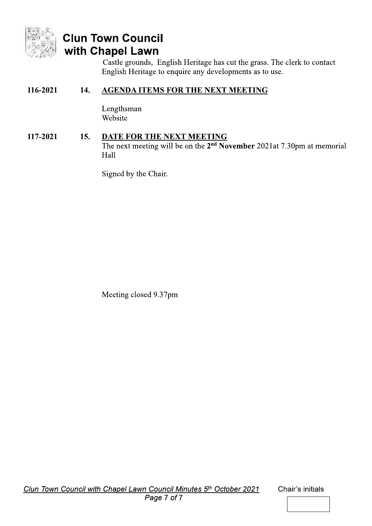

Castle grounds, English Heritage has cut the grass. The clerk to contact English Heritage to enquire any developments as to use.

#### 116-2021 14. **AGENDA ITEMS FOR THE NEXT MEETING**

Lengthsman Website

117-2021

#### **DATE FOR THE NEXT MEETING** 15.

The next meeting will be on the  $2<sup>nd</sup>$  November 2021at 7.30pm at memorial Hall

Signed by the Chair.

Meeting closed 9.37pm

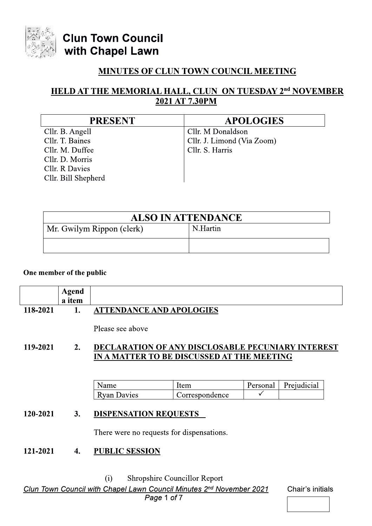

# - with Chapel Lawn **Chapel**

## MINUTES OF CLUN TOWN COUNCIL MEETING

## <u>HELD AT THE MEMORIAL HALL, CLUN\_ON TUESDAY 2<sup>nd</sup> NOVEMBER</u> 2021 AT 7.30PM

| <b>PRESENT</b>      | <b>APOLOGIES</b>           |
|---------------------|----------------------------|
| Cllr. B. Angell     | Cllr. M Donaldson          |
| Cllr. T. Baines     | Cllr. J. Limond (Via Zoom) |
| Cllr. M. Duffee     | Cllr. S. Harris            |
| Cllr. D. Morris     |                            |
| Cllr. R Davies      |                            |
| Cllr. Bill Shepherd |                            |

| <b>ALSO IN ATTENDANCE</b> |          |  |  |
|---------------------------|----------|--|--|
| Mr. Gwilym Rippon (clerk) | N.Hartin |  |  |
|                           |          |  |  |

### One member of the public

|          | Agend<br>a item |                                 |
|----------|-----------------|---------------------------------|
| 118-2021 |                 | <b>ATTENDANCE AND APOLOGIES</b> |

< < Please see above

### $\mathbb{Z}^2$ 119-2021 2. <u>DECLARATION OF ANY DISCLOSABLE PECUNIARY INTEREST</u> IN A MATTER TO BE DISCUSSED AT THE MEETING

| Name        | Item           | Personal | Prejudicial |
|-------------|----------------|----------|-------------|
| Ryan Davies | Correspondence |          |             |

### entradores de la construcción de la construcción de la construcción de la construcción de la construcción de la<br>Entradores de la construcción de la construcción de la construcción de la construcción de la construcción de l 120-2021 3. DISPENSATION REQUESTS

and the contract of the contract of the contract of the contract of the contract of the contract of the contract of the contract of the contract of the contract of the contract of the contract of the contract of the contra There were no requests for dispensations.

## 121-2021 4. <u>PUBLIC SESSION</u>

There were no requests for dispensations.<br>
121-2021 4. PUBLIC SESSION<br>
(i) Shropshire Councillor Report<br>
Clun Town Council with Chapel Lawn Council Minutes 2<sup>nd</sup> November 2021 Chair's initials<br>
Page 1 of 7 (i) Shropshire Councillor Report<br>Clun Town Council with Chapel Lawn Council Minutes 2<sup>nd</sup> November 2021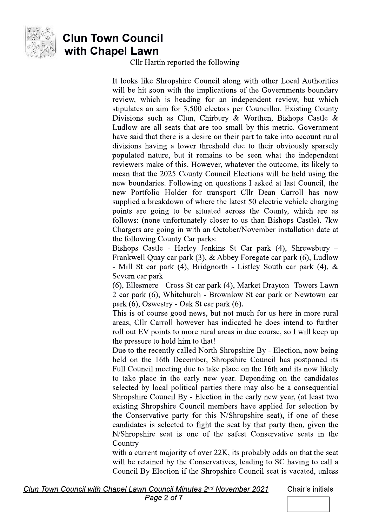

Cllr Hartin reported the following

It looks like Shropshire Council along with other Local Authorities will be hit soon with the implications of the Governments boundary review, which is heading for an independent review, but which stipulates an aim for 3,500 electors per Councillor. Existing County Divisions such as Clun, Chirbury & Worthen, Bishops Castle & Ludlow are all seats that are too small by this metric. Government have said that there is a desire on their part to take into account rural divisions having a lower threshold due to their obviously sparsely populated nature, but it remains to be seen what the independent reviewers make of this. However, whatever the outcome, its likely to mean that the 2025 County Council Elections will be held using the new boundaries. Following on questions I asked at last Council, the new Portfolio Holder for transport Cllr Dean Carroll has now supplied a breakdown of where the latest 50 electric vehicle charging points are going to be situated across the County, which are as follows: (none unfortunately closer to us than Bishops Castle). 7kw Chargers are going in with an October/November installation date at the following County Car parks:

Bishops Castle - Harley Jenkins St Car park  $(4)$ , Shrewsbury – Frankwell Quay car park (3), & Abbey Foregate car park (6), Ludlow - Mill St car park (4), Bridgnorth - Listley South car park (4),  $\&$ Severn car park

(6), Ellesmere - Cross St car park (4), Market Drayton - Towers Lawn 2 car park (6), Whitchurch - Brownlow St car park or Newtown car park (6), Oswestry - Oak St car park (6).

This is of course good news, but not much for us here in more rural areas, Cllr Carroll however has indicated he does intend to further roll out EV points to more rural areas in due course, so I will keep up the pressure to hold him to that!

Due to the recently called North Shropshire By - Election, now being held on the 16th December, Shropshire Council has postponed its Full Council meeting due to take place on the 16th and its now likely to take place in the early new year. Depending on the candidates selected by local political parties there may also be a consequential Shropshire Council By - Election in the early new year, (at least two existing Shropshire Council members have applied for selection by the Conservative party for this N/Shropshire seat), if one of these candidates is selected to fight the seat by that party then, given the N/Shropshire seat is one of the safest Conservative seats in the Country

with a current majority of over 22K, its probably odds on that the seat will be retained by the Conservatives, leading to SC having to call a Council By Election if the Shropshire Council seat is vacated, unless

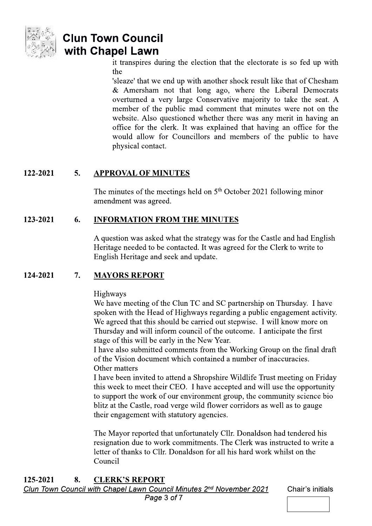

# - -  $\mathbb{Z}$  with Chapel Lawn

it transpires during the election that the electorate is so fed up with the

'sleaze' that we end up with another shock result like that of Chesham & Amersham not that long ago, where the Liberal Democrats overturned a very large Conservative majority to take the seat. A member of the public mad comment that minutes were not on the website. Also questioned whether there was any merit in having an office for the clerk. It was explained that having an office for the would allow for Councillors and members of the public to have physical contact.

### $\mathcal{L} \left( \mathcal{L} \right)$  . The set of  $\mathcal{L} \left( \mathcal{L} \right)$ 122-2021 5. APPROVAL OF MINUTES

 $\mathcal{L} = \mathcal{L} \left( \mathcal{L} \right)$  . The set of  $\mathcal{L} \left( \mathcal{L} \right)$ The minutes of the meetings held on  $5<sup>th</sup>$  October 2021 following minor amendment was agreed.

### $\mathcal{L} \left( \mathcal{L} \right) = \mathcal{L} \left( \mathcal{L} \right)$ 123-2021 6. INFORMATION FROM THE MINUTES

A question was asked what the strategy was for the Castle and had English Heritage needed to be contacted. It was agreed for the Clerk to write to English Heritage and seek and update.

### $\mathcal{L} \left( \mathcal{L} \right)$  . The set of  $\mathcal{L} \left( \mathcal{L} \right)$ 124-2021 7. MAYORS REPORT

 $\mathcal{L} = \mathcal{L} \times \mathcal{L} = \mathcal{L} \times \mathcal{L} = \mathcal{L} \times \mathcal{L} = \mathcal{L} \times \mathcal{L} = \mathcal{L} \times \mathcal{L} = \mathcal{L} \times \mathcal{L} = \mathcal{L} \times \mathcal{L} = \mathcal{L} \times \mathcal{L} = \mathcal{L} \times \mathcal{L} = \mathcal{L} \times \mathcal{L} = \mathcal{L} \times \mathcal{L} = \mathcal{L} \times \mathcal{L} = \mathcal{L} \times \mathcal{L} = \mathcal{L} \times \mathcal{L} = \mathcal$ Highways

We have meeting of the Clun TC and SC partnership on Thursday. I have spoken with the Head of Highways regarding a public engagement activity. We agreed that this should be carried out stepwise. I will know more on Thursday and will inform council of the outcome. I anticipate the first stage of this will be early in the New Year.

I have also submitted comments from the Working Group on the final draft of the Vision document which contained a number of inaccuracies. Other matters

I have been invited to attend a Shropshire Wildlife Trust meeting on Friday this week to meet their CEO. I have accepted and will use the opportunity to support the work of our environment group, the community science bio blitz at the Castle, road verge wild flower corridors as well as to gauge their engagement with statutory agencies.

The Mayor reported that unfortunately CIIr. Donaldson had tendered his<br>resignation due to work commitments. The Clerk was instructed to write a<br>letter of thanks to CIIr. Donaldson for all his hard work whilst on the<br>Counci  $\mathbb{R}$ The Mayor reported that unfortunately CIIr. Donaldson had tendered his resignation due to work commitments. The Clerk was instructed to write a letter of thanks to Cllr. Donaldson for all his hard work whilst on the Council

# $\mathcal{L} \left( \mathcal{L} \right)$  . The set of  $\mathcal{L} \left( \mathcal{L} \right)$

125-2021 8. CLERK'S REPORT<br>Clun Town Council with Chapel Lawn Council Minutes 2<sup>nd</sup> November 2021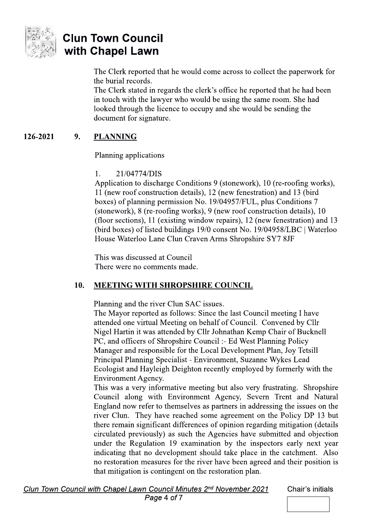

The Clerk reported that he would come across to collect the paperwork for the burial records.

The Clerk stated in regards the clerk's office he reported that he had been in touch with the lawyer who would be using the same room. She had looked through the licence to occupy and she would be sending the document for signature.

#### 126-2021 9. **PLANNING**

Planning applications

#### $\mathbf{1}$ . 21/04774/DIS

Application to discharge Conditions 9 (stonework), 10 (re-roofing works), 11 (new roof construction details), 12 (new fenestration) and 13 (bird boxes) of planning permission No. 19/04957/FUL, plus Conditions 7 (stonework), 8 (re-roofing works), 9 (new roof construction details), 10 (floor sections), 11 (existing window repairs), 12 (new fenestration) and 13 (bird boxes) of listed buildings 19/0 consent No. 19/04958/LBC | Waterloo House Waterloo Lane Clun Craven Arms Shropshire SY7 8JF

This was discussed at Council There were no comments made.

#### 10. **MEETING WITH SHROPSHIRE COUNCIL**

Planning and the river Clun SAC issues.

The Mayor reported as follows: Since the last Council meeting I have attended one virtual Meeting on behalf of Council. Convened by Cllr Nigel Hartin it was attended by Cllr Johnathan Kemp Chair of Bucknell PC, and officers of Shropshire Council :- Ed West Planning Policy Manager and responsible for the Local Development Plan, Joy Tetsill Principal Planning Specialist - Environment, Suzanne Wykes Lead Ecologist and Hayleigh Deighton recently employed by formerly with the Environment Agency.

This was a very informative meeting but also very frustrating. Shropshire Council along with Environment Agency, Severn Trent and Natural England now refer to themselves as partners in addressing the issues on the river Clun. They have reached some agreement on the Policy DP 13 but there remain significant differences of opinion regarding mitigation (details circulated previously) as such the Agencies have submitted and objection under the Regulation 19 examination by the inspectors early next year indicating that no development should take place in the catchment. Also no restoration measures for the river have been agreed and their position is that mitigation is contingent on the restoration plan.

Clun Town Council with Chapel Lawn Council Minutes 2nd November 2021 Page 4 of 7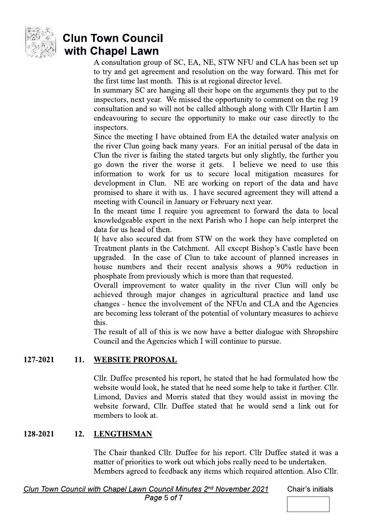

A consultation group of SC, EA, NE, STW NFU and CLA has been set up to try and get agreement and resolution on the way forward. This met for the first time last month. This is at regional director level.

In summary SC are hanging all their hope on the arguments they put to the inspectors, next year. We missed the opportunity to comment on the reg 19 consultation and so will not be called although along with Cllr Hartin I am endeavouring to secure the opportunity to make our case directly to the inspectors.

Since the meeting I have obtained from EA the detailed water analysis on the river Clun going back many years. For an initial perusal of the data in Clun the river is failing the stated targets but only slightly, the further you go down the river the worse it gets. I believe we need to use this information to work for us to secure local mitigation measures for development in Clun. NE are working on report of the data and have promised to share it with us. I have secured agreement they will attend a meeting with Council in January or February next year.

In the meant time I require you agreement to forward the data to local knowledgeable expert in the next Parish who I hope can help interpret the data for us head of then.

I( have also secured dat from STW on the work they have completed on Treatment plants in the Catchment. All except Bishop's Castle have been upgraded. In the case of Clun to take account of planned increases in house numbers and their recent analysis shows a 90% reduction in phosphate from previously which is more than that requested.

Overall improvement to water quality in the river Clun will only be achieved through major changes in agricultural practice and land use changes - hence the involvement of the NFUn and CLA and the Agencies are becoming less tolerant of the potential of voluntary measures to achieve this.

The result of all of this is we now have a better dialogue with Shropshire Council and the Agencies which I will continue to pursue.

#### 127-2021 **WEBSITE PROPOSAL** 11.

Cllr. Duffee presented his report, he stated that he had formulated how the website would look, he stated that he need some help to take it further. Cllr. Limond, Davies and Morris stated that they would assist in moving the website forward, Cllr. Duffee stated that he would send a link out for members to look at.

#### 128-2021  $12.$ **LENGTHSMAN**

The Chair thanked Cllr. Duffee for his report. Cllr Duffee stated it was a matter of priorities to work out which jobs really need to be undertaken. Members agreed to feedback any items which required attention. Also Cllr.

Clun Town Council with Chapel Lawn Council Minutes 2nd November 2021 Page 5 of 7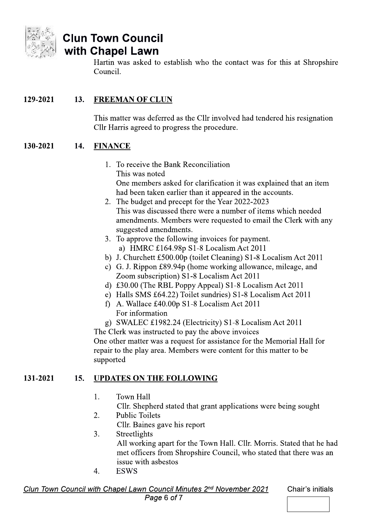

Hartin was asked to establish who the contact was for this at Shropshire Council.

#### 129-2021 13. **FREEMAN OF CLUN**

This matter was deferred as the Cllr involved had tendered his resignation Cllr Harris agreed to progress the procedure.

#### 130-2021 14. **FINANCE**

- 1. To receive the Bank Reconciliation This was noted One members asked for clarification it was explained that an item had been taken earlier than it appeared in the accounts.
- 2. The budget and precept for the Year 2022-2023 This was discussed there were a number of items which needed amendments. Members were requested to email the Clerk with any suggested amendments.
- 3. To approve the following invoices for payment. a) HMRC £164.98p S1-8 Localism Act 2011
- b) J. Churchett £500.00p (toilet Cleaning) S1-8 Localism Act 2011
- c) G. J. Rippon £89.94p (home working allowance, mileage, and Zoom subscription) S1-8 Localism Act 2011
- d) £30.00 (The RBL Poppy Appeal) S1-8 Localism Act 2011
- e) Halls SMS £64.22) Toilet sundries) S1-8 Localism Act 2011
- f) A. Wallace  $\text{\pounds}40.00p$  S1-8 Localism Act 2011 For information

g) SWALEC £1982.24 (Electricity) S1-8 Localism Act 2011

The Clerk was instructed to pay the above invoices One other matter was a request for assistance for the Memorial Hall for repair to the play area. Members were content for this matter to be supported

#### 131-2021 **UPDATES ON THE FOLLOWING** 15.

- 1. Town Hall
- Cllr. Shepherd stated that grant applications were being sought
- $\overline{2}$ . **Public Toilets** Cllr. Baines gave his report
- $3.$ Streetlights

All working apart for the Town Hall. Cllr. Morris. Stated that he had met officers from Shropshire Council, who stated that there was an issue with asbestos

 $\overline{4}$ . **ESWS**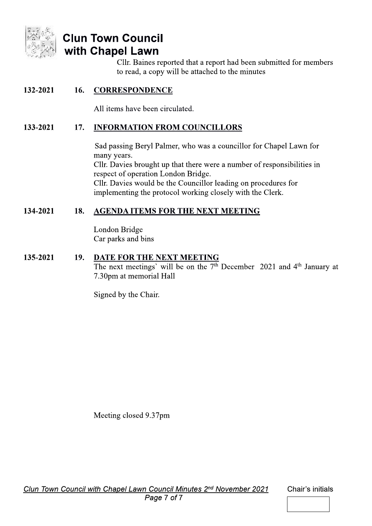

Cllr. Baines reported that a report had been submitted for members to read, a copy will be attached to the minutes

#### 132-2021 16. **CORRESPONDENCE**

All items have been circulated.

#### 133-2021 17. **INFORMATION FROM COUNCILLORS**

Sad passing Beryl Palmer, who was a councillor for Chapel Lawn for many years. Cllr. Davies brought up that there were a number of responsibilities in respect of operation London Bridge. Cllr. Davies would be the Councillor leading on procedures for implementing the protocol working closely with the Clerk.

#### 134-2021 18. **AGENDA ITEMS FOR THE NEXT MEETING**

London Bridge Car parks and bins

#### 135-2021 19. **DATE FOR THE NEXT MEETING**

The next meetings' will be on the  $7<sup>th</sup>$  December 2021 and  $4<sup>th</sup>$  January at 7.30pm at memorial Hall

Signed by the Chair.

Meeting closed 9.37pm

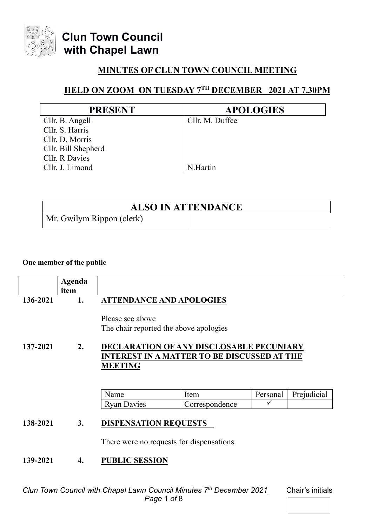

## **MINUTES OF CLUN TOWN COUNCIL MEETING**

## **HELD ON ZOOM ON TUESDAY 7TH DECEMBER 2021 AT 7.30PM**

| <b>PRESENT</b>      | <b>APOLOGIES</b> |
|---------------------|------------------|
| Cllr. B. Angell     | Cllr. M. Duffee  |
| Cllr. S. Harris     |                  |
| Cllr. D. Morris     |                  |
| Cllr. Bill Shepherd |                  |
| Cllr. R Davies      |                  |
| Cllr. J. Limond     | N.Hartin         |

| <b>ALSO IN ATTENDANCE</b> |  |  |  |
|---------------------------|--|--|--|
| Mr. Gwilym Rippon (clerk) |  |  |  |

### **One member of the public**

|          | <b>Agenda</b><br>item |                                                                           |                |          |             |
|----------|-----------------------|---------------------------------------------------------------------------|----------------|----------|-------------|
| 136-2021 | 1.                    | <b>ATTENDANCE AND APOLOGIES</b>                                           |                |          |             |
|          |                       | Please see above<br>The chair reported the above apologies                |                |          |             |
| 137-2021 | 2.                    | <b>DECLARATION OF ANY DISCLOSABLE PECUNIARY</b>                           |                |          |             |
|          |                       | INTEREST IN A MATTER TO BE DISCUSSED AT THE<br><b>MEETING</b>             |                |          |             |
|          |                       | Name                                                                      | Item           | Personal | Prejudicial |
|          |                       | <b>Ryan Davies</b>                                                        | Correspondence |          |             |
| 138-2021 | 3.                    | <b>DISPENSATION REQUESTS</b><br>There were no requests for dispensations. |                |          |             |
| 139-2021 | 4.                    | <b>PUBLIC SESSION</b>                                                     |                |          |             |
|          |                       |                                                                           |                |          |             |

*Clun Town Council with Chapel Lawn Council Minutes 7 th December 2021* Chair's initials  *Page* 1 *of* 8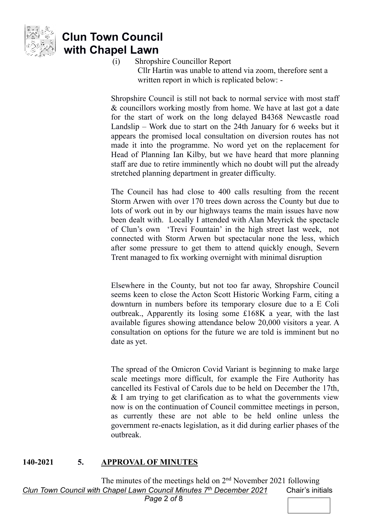

(i) Shropshire Councillor Report

Cllr Hartin was unable to attend via zoom, therefore sent a written report in which is replicated below: -

Shropshire Council is still not back to normal service with most staff & councillors working mostly from home. We have at last got a date for the start of work on the long delayed B4368 Newcastle road Landslip – Work due to start on the 24th January for 6 weeks but it appears the promised local consultation on diversion routes has not made it into the programme. No word yet on the replacement for Head of Planning Ian Kilby, but we have heard that more planning staff are due to retire imminently which no doubt will put the already stretched planning department in greater difficulty.

The Council has had close to 400 calls resulting from the recent Storm Arwen with over 170 trees down across the County but due to lots of work out in by our highways teams the main issues have now been dealt with. Locally I attended with Alan Meyrick the spectacle of Clun's own 'Trevi Fountain' in the high street last week, not connected with Storm Arwen but spectacular none the less, which after some pressure to get them to attend quickly enough, Severn Trent managed to fix working overnight with minimal disruption

Elsewhere in the County, but not too far away, Shropshire Council seems keen to close the Acton Scott Historic Working Farm, citing a downturn in numbers before its temporary closure due to a E Coli outbreak., Apparently its losing some £168K a year, with the last available figures showing attendance below 20,000 visitors a year. A consultation on options for the future we are told is imminent but no date as yet.

The spread of the Omicron Covid Variant is beginning to make large scale meetings more difficult, for example the Fire Authority has cancelled its Festival of Carols due to be held on December the 17th, & I am trying to get clarification as to what the governments view now is on the continuation of Council committee meetings in person, as currently these are not able to be held online unless the government re-enacts legislation, as it did during earlier phases of the outbreak.

## **140-2021 5. APPROVAL OF MINUTES**

*Clun Town Council with Chapel Lawn Council Minutes 7 th December 2021* Chair's initials The minutes of the meetings held on  $2<sup>nd</sup>$  November 2021 following

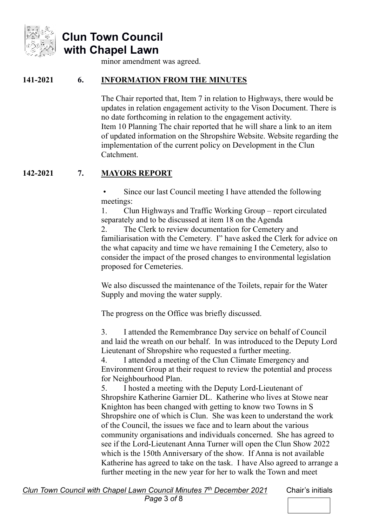

minor amendment was agreed.

### **141-2021 6. INFORMATION FROM THE MINUTES**

The Chair reported that, Item 7 in relation to Highways, there would be updates in relation engagement activity to the Vison Document. There is no date forthcoming in relation to the engagement activity. Item 10 Planning The chair reported that he will share a link to an item of updated information on the Shropshire Website. Website regarding the implementation of the current policy on Development in the Clun Catchment.

## **142-2021 7. MAYORS REPORT**

Since our last Council meeting I have attended the following meetings:

1. Clun Highways and Traffic Working Group – report circulated separately and to be discussed at item 18 on the Agenda

2. The Clerk to review documentation for Cemetery and familiarisation with the Cemetery. I" have asked the Clerk for advice on the what capacity and time we have remaining I the Cemetery, also to consider the impact of the prosed changes to environmental legislation proposed for Cemeteries.

We also discussed the maintenance of the Toilets, repair for the Water Supply and moving the water supply.

The progress on the Office was briefly discussed.

3. I attended the Remembrance Day service on behalf of Council and laid the wreath on our behalf. In was introduced to the Deputy Lord Lieutenant of Shropshire who requested a further meeting.

4. I attended a meeting of the Clun Climate Emergency and Environment Group at their request to review the potential and process for Neighbourhood Plan.

5. I hosted a meeting with the Deputy Lord-Lieutenant of Shropshire Katherine Garnier DL. Katherine who lives at Stowe near Knighton has been changed with getting to know two Towns in S Shropshire one of which is Clun. She was keen to understand the work of the Council, the issues we face and to learn about the various community organisations and individuals concerned. She has agreed to see if the Lord-Lieutenant Anna Turner will open the Clun Show 2022 which is the 150th Anniversary of the show. If Anna is not available Katherine has agreed to take on the task. I have Also agreed to arrange a further meeting in the new year for her to walk the Town and meet

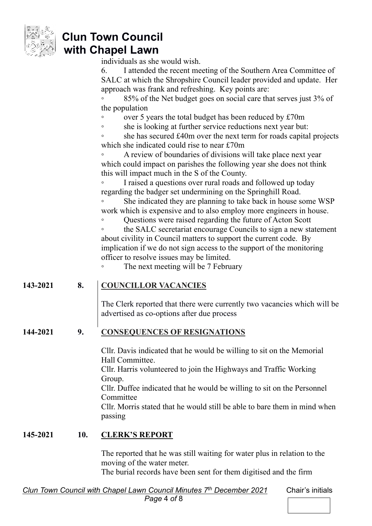

individuals as she would wish.

6. I attended the recent meeting of the Southern Area Committee of SALC at which the Shropshire Council leader provided and update. Her approach was frank and refreshing. Key points are:

◦ 85% of the Net budget goes on social care that serves just 3% of the population

- over 5 years the total budget has been reduced by  $\text{\pounds}70m$
- she is looking at further service reductions next year but:

she has secured £40m over the next term for roads capital projects which she indicated could rise to near £70m

A review of boundaries of divisions will take place next year which could impact on parishes the following year she does not think this will impact much in the S of the County.

I raised a questions over rural roads and followed up today regarding the badger set undermining on the Springhill Road.

She indicated they are planning to take back in house some WSP work which is expensive and to also employ more engineers in house.

◦ Questions were raised regarding the future of Acton Scott

◦ the SALC secretariat encourage Councils to sign a new statement about civility in Council matters to support the current code. By implication if we do not sign access to the support of the monitoring officer to resolve issues may be limited.

◦ The next meeting will be 7 February

## **143-2021 8. COUNCILLOR VACANCIES**

The Clerk reported that there were currently two vacancies which will be advertised as co-options after due process

### **144-2021 9. CONSEQUENCES OF RESIGNATIONS**

Cllr. Davis indicated that he would be willing to sit on the Memorial Hall Committee. Cllr. Harris volunteered to join the Highways and Traffic Working Group. Cllr. Duffee indicated that he would be willing to sit on the Personnel Committee Cllr. Morris stated that he would still be able to bare them in mind when passing

## **145-2021 10. CLERK'S REPORT**

The reported that he was still waiting for water plus in relation to the moving of the water meter.

The burial records have been sent for them digitised and the firm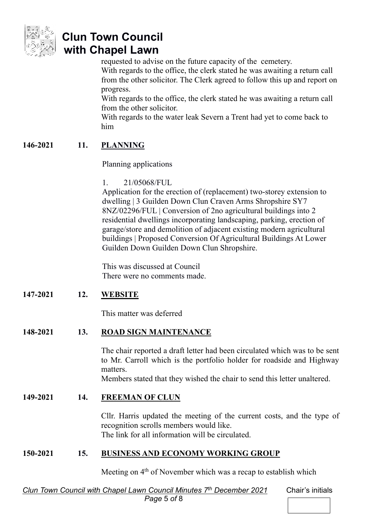

requested to advise on the future capacity of the cemetery. With regards to the office, the clerk stated he was awaiting a return call from the other solicitor. The Clerk agreed to follow this up and report on progress.

With regards to the office, the clerk stated he was awaiting a return call from the other solicitor.

With regards to the water leak Severn a Trent had yet to come back to him

## **146-2021 11. PLANNING**

## Planning applications

## 1. 21/05068/FUL

Application for the erection of (replacement) two-storey extension to dwelling | 3 Guilden Down Clun Craven Arms Shropshire SY7 8NZ/02296/FUL | Conversion of 2no agricultural buildings into 2 residential dwellings incorporating landscaping, parking, erection of garage/store and demolition of adjacent existing modern agricultural buildings | Proposed Conversion Of Agricultural Buildings At Lower Guilden Down Guilden Down Clun Shropshire.

This was discussed at Council There were no comments made.

## **147-2021 12. WEBSITE**

This matter was deferred

## **148-2021 13. ROAD SIGN MAINTENANCE**

The chair reported a draft letter had been circulated which was to be sent to Mr. Carroll which is the portfolio holder for roadside and Highway matters.

Members stated that they wished the chair to send this letter unaltered.

## **149-2021 14. FREEMAN OF CLUN**

Cllr. Harris updated the meeting of the current costs, and the type of recognition scrolls members would like. The link for all information will be circulated.

## **150-2021 15. BUSINESS AND ECONOMY WORKING GROUP**

Meeting on 4<sup>th</sup> of November which was a recap to establish which

*Clun Town Council with Chapel Lawn Council Minutes 7 th December 2021* Chair's initials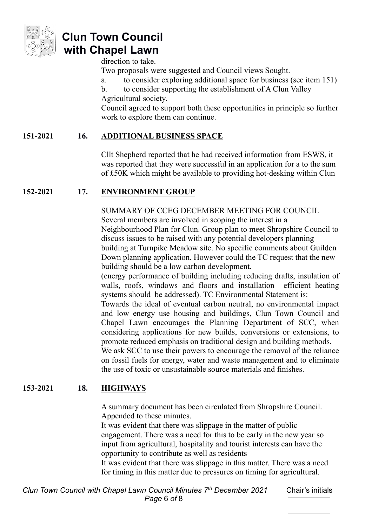

direction to take.

Two proposals were suggested and Council views Sought.

- a. to consider exploring additional space for business (see item 151)
- b. to consider supporting the establishment of A Clun Valley Agricultural society.

Council agreed to support both these opportunities in principle so further work to explore them can continue.

## **151-2021 16. ADDITIONAL BUSINESS SPACE**

Cllt Shepherd reported that he had received information from ESWS, it was reported that they were successful in an application for a to the sum of £50K which might be available to providing hot-desking within Clun

## **152-2021 17. ENVIRONMENT GROUP**

SUMMARY OF CCEG DECEMBER MEETING FOR COUNCIL Several members are involved in scoping the interest in a Neighbourhood Plan for Clun. Group plan to meet Shropshire Council to discuss issues to be raised with any potential developers planning building at Turnpike Meadow site. No specific comments about Guilden Down planning application. However could the TC request that the new building should be a low carbon development.

(energy performance of building including reducing drafts, insulation of walls, roofs, windows and floors and installation efficient heating systems should be addressed). TC Environmental Statement is:

Towards the ideal of eventual carbon neutral, no environmental impact and low energy use housing and buildings, Clun Town Council and Chapel Lawn encourages the Planning Department of SCC, when considering applications for new builds, conversions or extensions, to promote reduced emphasis on traditional design and building methods.

We ask SCC to use their powers to encourage the removal of the reliance on fossil fuels for energy, water and waste management and to eliminate the use of toxic or unsustainable source materials and finishes.

## **153-2021 18. HIGHWAYS**

A summary document has been circulated from Shropshire Council. Appended to these minutes.

It was evident that there was slippage in the matter of public engagement. There was a need for this to be early in the new year so input from agricultural, hospitality and tourist interests can have the opportunity to contribute as well as residents

It was evident that there was slippage in this matter. There was a need for timing in this matter due to pressures on timing for agricultural.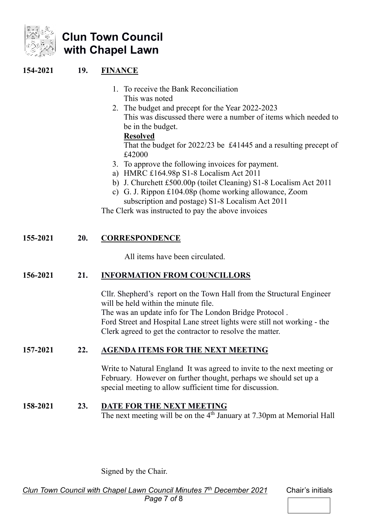

## **154-2021 19. FINANCE**

- 1. To receive the Bank Reconciliation This was noted
- 2. The budget and precept for the Year 2022-2023 This was discussed there were a number of items which needed to be in the budget.

## **Resolved**

That the budget for 2022/23 be £41445 and a resulting precept of £42000

- 3. To approve the following invoices for payment.
- a) HMRC £164.98p S1-8 Localism Act 2011
- b) J. Churchett £500.00p (toilet Cleaning) S1-8 Localism Act 2011
- c) G. J. Rippon £104.08p (home working allowance, Zoom subscription and postage) S1-8 Localism Act 2011

The Clerk was instructed to pay the above invoices

## **155-2021 20. CORRESPONDENCE**

All items have been circulated.

## **156-2021 21. INFORMATION FROM COUNCILLORS**

Cllr. Shepherd's report on the Town Hall from the Structural Engineer will be held within the minute file. The was an update info for The London Bridge Protocol . Ford Street and Hospital Lane street lights were still not working - the Clerk agreed to get the contractor to resolve the matter.

## **157-2021 22. AGENDA ITEMS FOR THE NEXT MEETING**

Write to Natural England It was agreed to invite to the next meeting or February. However on further thought, perhaps we should set up a special meeting to allow sufficient time for discussion.

#### **158-2021 23. DATE FOR THE NEXT MEETING**  The next meeting will be on the 4<sup>th</sup> January at 7.30pm at Memorial Hall

Signed by the Chair.

*Clun Town Council with Chapel Lawn Council Minutes 7 th December 2021* Chair's initials  *Page* 7 *of* 8